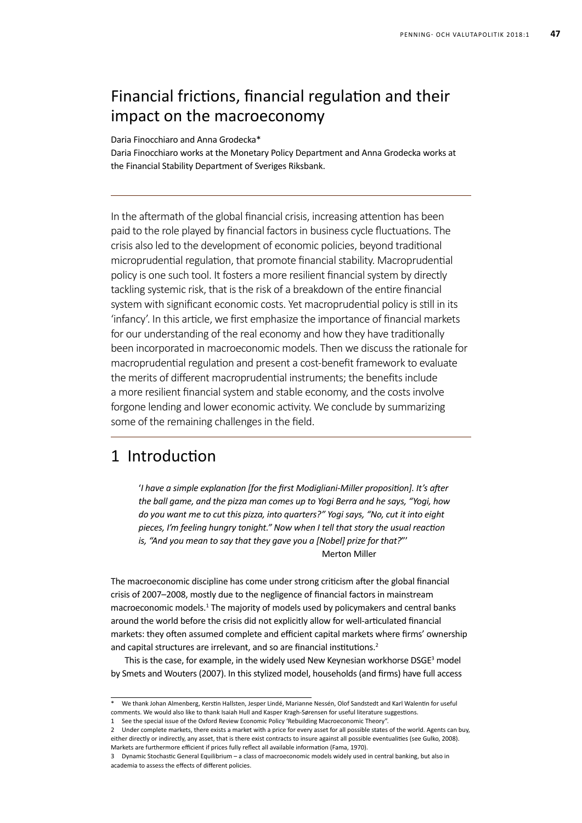# Financial frictions, financial regulation and their impact on the macroeconomy

Daria Finocchiaro and Anna Grodecka\*

Daria Finocchiaro works at the Monetary Policy Department and Anna Grodecka works at the Financial Stability Department of Sveriges Riksbank.

In the aftermath of the global financial crisis, increasing attention has been paid to the role played by financial factors in business cycle fluctuations. The crisis also led to the development of economic policies, beyond traditional microprudential regulation, that promote financial stability. Macroprudential policy is one such tool. It fosters a more resilient financial system by directly tackling systemic risk, that is the risk of a breakdown of the entire financial system with significant economic costs. Yet macroprudential policy is still in its 'infancy'. In this article, we first emphasize the importance of financial markets for our understanding of the real economy and how they have traditionally been incorporated in macroeconomic models. Then we discuss the rationale for macroprudential regulation and present a cost-benefit framework to evaluate the merits of different macroprudential instruments; the benefits include a more resilient financial system and stable economy, and the costs involve forgone lending and lower economic activity. We conclude by summarizing some of the remaining challenges in the field.

### 1 Introduction

'*I have a simple explanation [for the first Modigliani-Miller proposition]. It's after the ball game, and the pizza man comes up to Yogi Berra and he says, "Yogi, how do you want me to cut this pizza, into quarters?" Yogi says, "No, cut it into eight pieces, I'm feeling hungry tonight." Now when I tell that story the usual reaction is, "And you mean to say that they gave you a [Nobel] prize for that?*"' Merton Miller

The macroeconomic discipline has come under strong criticism after the global financial crisis of 2007–2008, mostly due to the negligence of financial factors in mainstream macroeconomic models.<sup>1</sup> The majority of models used by policymakers and central banks around the world before the crisis did not explicitly allow for well-articulated financial markets: they often assumed complete and efficient capital markets where firms' ownership and capital structures are irrelevant, and so are financial institutions.<sup>2</sup>

This is the case, for example, in the widely used New Keynesian workhorse  $DSGE<sup>3</sup>$  model by Smets and Wouters (2007). In this stylized model, households (and firms) have full access

We thank Johan Almenberg, Kerstin Hallsten, Jesper Lindé, Marianne Nessén, Olof Sandstedt and Karl Walentin for useful comments. We would also like to thank Isaiah Hull and Kasper Kragh-Sørensen for useful literature suggestions.

<sup>1</sup> See the special issue of the Oxford Review Economic Policy 'Rebuilding Macroeconomic Theory".

<sup>2</sup> Under complete markets, there exists a market with a price for every asset for all possible states of the world. Agents can buy, either directly or indirectly, any asset, that is there exist contracts to insure against all possible eventualities (see Gulko, 2008). Markets are furthermore efficient if prices fully reflect all available information (Fama, 1970).

<sup>3</sup> Dynamic Stochastic General Equilibrium – a class of macroeconomic models widely used in central banking, but also in academia to assess the effects of different policies.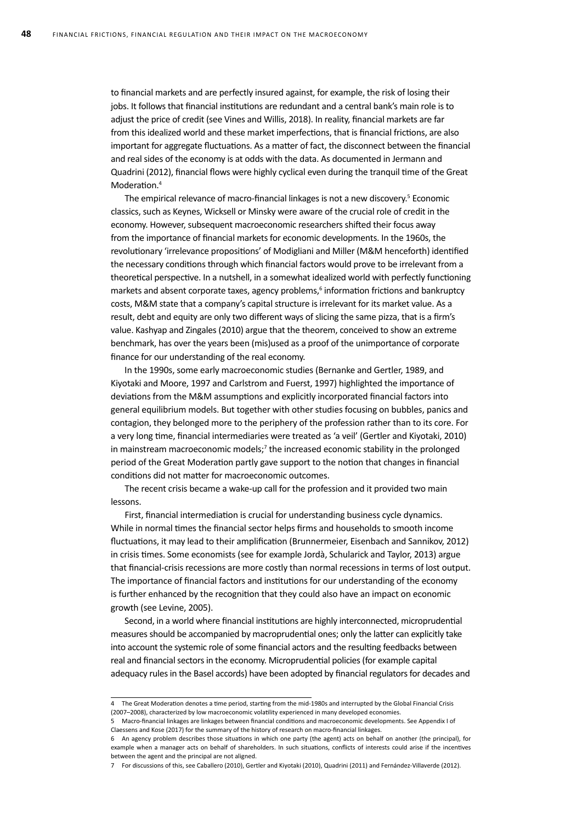to financial markets and are perfectly insured against, for example, the risk of losing their jobs. It follows that financial institutions are redundant and a central bank's main role is to adjust the price of credit (see Vines and Willis, 2018). In reality, financial markets are far from this idealized world and these market imperfections, that is financial frictions, are also important for aggregate fluctuations. As a matter of fact, the disconnect between the financial and real sides of the economy is at odds with the data. As documented in Jermann and Quadrini (2012), financial flows were highly cyclical even during the tranquil time of the Great Moderation.<sup>4</sup>

The empirical relevance of macro-financial linkages is not a new discovery.<sup>5</sup> Economic classics, such as Keynes, Wicksell or Minsky were aware of the crucial role of credit in the economy. However, subsequent macroeconomic researchers shifted their focus away from the importance of financial markets for economic developments. In the 1960s, the revolutionary 'irrelevance propositions' of Modigliani and Miller (M&M henceforth) identified the necessary conditions through which financial factors would prove to be irrelevant from a theoretical perspective. In a nutshell, in a somewhat idealized world with perfectly functioning markets and absent corporate taxes, agency problems,<sup>6</sup> information frictions and bankruptcy costs, M&M state that a company's capital structure is irrelevant for its market value. As a result, debt and equity are only two different ways of slicing the same pizza, that is a firm's value. Kashyap and Zingales (2010) argue that the theorem, conceived to show an extreme benchmark, has over the years been (mis)used as a proof of the unimportance of corporate finance for our understanding of the real economy.

In the 1990s, some early macroeconomic studies (Bernanke and Gertler, 1989, and Kiyotaki and Moore, 1997 and Carlstrom and Fuerst, 1997) highlighted the importance of deviations from the M&M assumptions and explicitly incorporated financial factors into general equilibrium models. But together with other studies focusing on bubbles, panics and contagion, they belonged more to the periphery of the profession rather than to its core. For a very long time, financial intermediaries were treated as 'a veil' (Gertler and Kiyotaki, 2010) in mainstream macroeconomic models;<sup>7</sup> the increased economic stability in the prolonged period of the Great Moderation partly gave support to the notion that changes in financial conditions did not matter for macroeconomic outcomes.

The recent crisis became a wake-up call for the profession and it provided two main lessons.

First, financial intermediation is crucial for understanding business cycle dynamics. While in normal times the financial sector helps firms and households to smooth income fluctuations, it may lead to their amplification (Brunnermeier, Eisenbach and Sannikov, 2012) in crisis times. Some economists (see for example Jordà, Schularick and Taylor, 2013) argue that financial-crisis recessions are more costly than normal recessions in terms of lost output. The importance of financial factors and institutions for our understanding of the economy is further enhanced by the recognition that they could also have an impact on economic growth (see Levine, 2005).

Second, in a world where financial institutions are highly interconnected, microprudential measures should be accompanied by macroprudential ones; only the latter can explicitly take into account the systemic role of some financial actors and the resulting feedbacks between real and financial sectors in the economy. Microprudential policies (for example capital adequacy rules in the Basel accords) have been adopted by financial regulators for decades and

<sup>4</sup> The Great Moderation denotes a time period, starting from the mid-1980s and interrupted by the Global Financial Crisis (2007–2008), characterized by low macroeconomic volatility experienced in many developed economies.

<sup>5</sup> Macro-financial linkages are linkages between financial conditions and macroeconomic developments. See Appendix I of Claessens and Kose (2017) for the summary of the history of research on macro-financial linkages.

<sup>6</sup> An agency problem describes those situations in which one party (the agent) acts on behalf on another (the principal), for example when a manager acts on behalf of shareholders. In such situations, conflicts of interests could arise if the incentives between the agent and the principal are not aligned.

<sup>7</sup> For discussions of this, see Caballero (2010), Gertler and Kiyotaki (2010), Quadrini (2011) and Fernández-Villaverde (2012).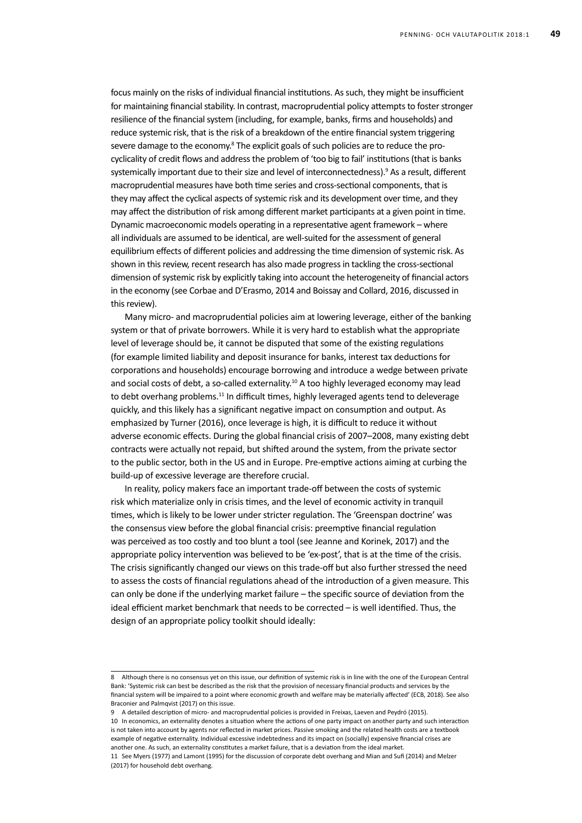focus mainly on the risks of individual financial institutions. As such, they might be insufficient for maintaining financial stability. In contrast, macroprudential policy attempts to foster stronger resilience of the financial system (including, for example, banks, firms and households) and reduce systemic risk, that is the risk of a breakdown of the entire financial system triggering severe damage to the economy. $8$  The explicit goals of such policies are to reduce the procyclicality of credit flows and addressthe problem of 'too big to fail' institutions(that is banks systemically important due to their size and level of interconnectedness).<sup>9</sup> As a result, different macroprudential measures have both time series and cross-sectional components, that is they may affect the cyclical aspects of systemic risk and its development over time, and they may affect the distribution of risk among different market participants at a given point in time. Dynamic macroeconomic models operating in a representative agent framework – where all individuals are assumed to be identical, are well-suited for the assessment of general equilibrium effects of different policies and addressing the time dimension of systemic risk. As shown in this review, recent research has also made progress in tackling the cross-sectional dimension of systemic risk by explicitly taking into account the heterogeneity of financial actors in the economy (see Corbae and D'Erasmo, 2014 and Boissay and Collard, 2016, discussed in this review).

Many micro- and macroprudential policies aim at lowering leverage, either of the banking system or that of private borrowers. While it is very hard to establish what the appropriate level of leverage should be, it cannot be disputed that some of the existing regulations (for example limited liability and deposit insurance for banks, interest tax deductions for corporations and households) encourage borrowing and introduce a wedge between private and social costs of debt, a so-called externality.<sup>10</sup> A too highly leveraged economy may lead to debt overhang problems.<sup>11</sup> In difficult times, highly leveraged agents tend to deleverage quickly, and this likely has a significant negative impact on consumption and output. As emphasized by Turner (2016), once leverage is high, it is difficult to reduce it without adverse economic effects. During the global financial crisis of 2007–2008, many existing debt contracts were actually not repaid, but shifted around the system, from the private sector to the public sector, both in the US and in Europe. Pre-emptive actions aiming at curbing the build-up of excessive leverage are therefore crucial.

In reality, policy makers face an important trade-off between the costs of systemic risk which materialize only in crisis times, and the level of economic activity in tranquil times, which is likely to be lower under stricter regulation. The 'Greenspan doctrine' was the consensus view before the global financial crisis: preemptive financial regulation was perceived as too costly and too blunt a tool (see Jeanne and Korinek, 2017) and the appropriate policy intervention was believed to be 'ex-post', that is at the time of the crisis. The crisis significantly changed our views on this trade-off but also further stressed the need to assess the costs of financial regulations ahead of the introduction of a given measure. This can only be done if the underlying market failure – the specific source of deviation from the ideal efficient market benchmark that needs to be corrected – is well identified. Thus, the design of an appropriate policy toolkit should ideally:

<sup>8</sup> Although there is no consensus yet on this issue, our definition of systemic risk is in line with the one of the European Central Bank: 'Systemic risk can best be described as the risk that the provision of necessary financial products and services by the financial system will be impaired to a point where economic growth and welfare may be materially affected' (ECB, 2018). See also Braconier and Palmqvist (2017) on this issue.

<sup>9</sup> A detailed description of micro- and macroprudential policies is provided in Freixas, Laeven and Peydró (2015).

<sup>10</sup> In economics, an externality denotes a situation where the actions of one party impact on another party and such interaction is not taken into account by agents nor reflected in market prices. Passive smoking and the related health costs are a textbook example of negative externality. Individual excessive indebtedness and its impact on (socially) expensive financial crises are another one. As such, an externality constitutes a market failure, that is a deviation from the ideal market.

<sup>11</sup> See Myers (1977) and Lamont (1995) for the discussion of corporate debt overhang and Mian and Sufi (2014) and Melzer (2017) for household debt overhang.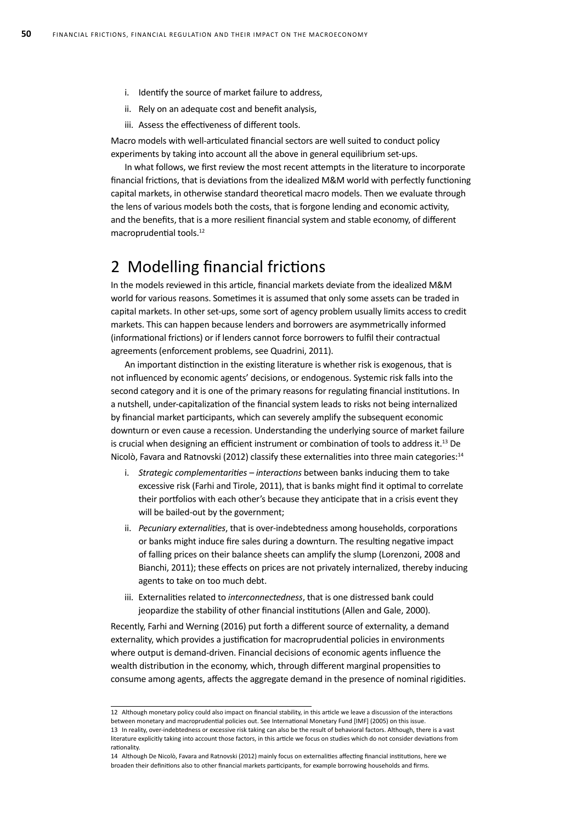- i. Identify the source of market failure to address,
- ii. Rely on an adequate cost and benefit analysis,
- iii. Assess the effectiveness of different tools.

Macro models with well-articulated financial sectors are well suited to conduct policy experiments by taking into account all the above in general equilibrium set-ups.

In what follows, we first review the most recent attempts in the literature to incorporate financial frictions, that is deviations from the idealized M&M world with perfectly functioning capital markets, in otherwise standard theoretical macro models. Then we evaluate through the lens of various models both the costs, that is forgone lending and economic activity, and the benefits, that is a more resilient financial system and stable economy, of different macroprudential tools.<sup>12</sup>

# 2 Modelling financial frictions

In the models reviewed in this article, financial markets deviate from the idealized M&M world for various reasons. Sometimes it is assumed that only some assets can be traded in capital markets. In other set-ups, some sort of agency problem usually limits access to credit markets. This can happen because lenders and borrowers are asymmetrically informed (informational frictions) or if lenders cannot force borrowers to fulfil their contractual agreements (enforcement problems, see Quadrini, 2011).

An important distinction in the existing literature is whether risk is exogenous, that is not influenced by economic agents' decisions, or endogenous. Systemic risk falls into the second category and it is one of the primary reasons for regulating financial institutions. In a nutshell, under-capitalization of the financial system leads to risks not being internalized by financial market participants, which can severely amplify the subsequent economic downturn or even cause a recession. Understanding the underlying source of market failure is crucial when designing an efficient instrument or combination of tools to address it.<sup>13</sup> De Nicolò, Favara and Ratnovski (2012) classify these externalities into three main categories:<sup>14</sup>

- i. *Strategic complementarities interactions* between banks inducing them to take excessive risk (Farhi and Tirole, 2011), that is banks might find it optimal to correlate their portfolios with each other's because they anticipate that in a crisis event they will be bailed-out by the government;
- ii. *Pecuniary externalities*, that is over-indebtedness among households, corporations or banks might induce fire sales during a downturn. The resulting negative impact of falling prices on their balance sheets can amplify the slump (Lorenzoni, 2008 and Bianchi, 2011); these effects on prices are not privately internalized, thereby inducing agents to take on too much debt.
- iii. Externalities related to *interconnectedness*, that is one distressed bank could jeopardize the stability of other financial institutions (Allen and Gale, 2000).

Recently, Farhi and Werning (2016) put forth a different source of externality, a demand externality, which provides a justification for macroprudential policies in environments where output is demand-driven. Financial decisions of economic agents influence the wealth distribution in the economy, which, through different marginal propensities to consume among agents, affects the aggregate demand in the presence of nominal rigidities.

<sup>12</sup> Although monetary policy could also impact on financial stability, in this article we leave a discussion of the interactions between monetary and macroprudential policies out. See International Monetary Fund [IMF] (2005) on this issue. 13 In reality, over-indebtedness or excessive risk taking can also be the result of behavioral factors. Although, there is a vast

literature explicitly taking into account those factors, in this article we focus on studies which do not consider deviations from rationality.

<sup>14</sup> Although De Nicolò, Favara and Ratnovski (2012) mainly focus on externalities affecting financial institutions, here we broaden their definitions also to other financial markets participants, for example borrowing households and firms.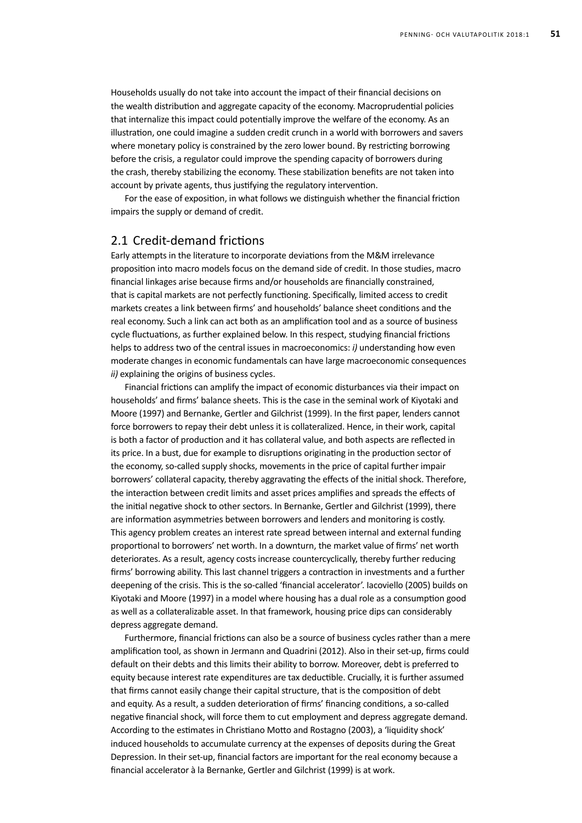Households usually do not take into account the impact of their financial decisions on the wealth distribution and aggregate capacity of the economy. Macroprudential policies that internalize this impact could potentially improve the welfare of the economy. As an illustration, one could imagine a sudden credit crunch in a world with borrowers and savers where monetary policy is constrained by the zero lower bound. By restricting borrowing before the crisis, a regulator could improve the spending capacity of borrowers during the crash, thereby stabilizing the economy. These stabilization benefits are not taken into account by private agents, thus justifying the regulatory intervention.

For the ease of exposition, in what follows we distinguish whether the financial friction impairs the supply or demand of credit.

#### 2.1 Credit-demand frictions

Early attempts in the literature to incorporate deviations from the M&M irrelevance proposition into macro models focus on the demand side of credit. In those studies, macro financial linkages arise because firms and/or households are financially constrained, that is capital markets are not perfectly functioning. Specifically, limited access to credit markets creates a link between firms' and households' balance sheet conditions and the real economy. Such a link can act both as an amplification tool and as a source of business cycle fluctuations, as further explained below. In this respect, studying financial frictions helps to address two of the central issues in macroeconomics: *i)* understanding how even moderate changes in economic fundamentals can have large macroeconomic consequences *ii)* explaining the origins of business cycles.

Financial frictions can amplify the impact of economic disturbances via their impact on households' and firms' balance sheets. This is the case in the seminal work of Kiyotaki and Moore (1997) and Bernanke, Gertler and Gilchrist (1999). In the first paper, lenders cannot force borrowers to repay their debt unless it is collateralized. Hence, in their work, capital is both a factor of production and it has collateral value, and both aspects are reflected in its price. In a bust, due for example to disruptions originating in the production sector of the economy, so-called supply shocks, movements in the price of capital further impair borrowers' collateral capacity, thereby aggravating the effects of the initial shock. Therefore, the interaction between credit limits and asset prices amplifies and spreads the effects of the initial negative shock to other sectors. In Bernanke, Gertler and Gilchrist (1999), there are information asymmetries between borrowers and lenders and monitoring is costly. This agency problem creates an interest rate spread between internal and external funding proportional to borrowers' net worth. In a downturn, the market value of firms' net worth deteriorates. As a result, agency costs increase countercyclically, thereby further reducing firms' borrowing ability. This last channel triggers a contraction in investments and a further deepening of the crisis. This is the so-called 'financial accelerator'. Iacoviello (2005) builds on Kiyotaki and Moore (1997) in a model where housing has a dual role as a consumption good as well as a collateralizable asset. In that framework, housing price dips can considerably depress aggregate demand.

Furthermore, financial frictions can also be a source of business cycles rather than a mere amplification tool, as shown in Jermann and Quadrini (2012). Also in their set-up, firms could default on their debts and this limits their ability to borrow. Moreover, debt is preferred to equity because interest rate expenditures are tax deductible. Crucially, it is further assumed that firms cannot easily change their capital structure, that is the composition of debt and equity. As a result, a sudden deterioration of firms' financing conditions, a so-called negative financial shock, will force them to cut employment and depress aggregate demand. According to the estimates in Christiano Motto and Rostagno (2003), a 'liquidity shock' induced households to accumulate currency at the expenses of deposits during the Great Depression. In their set-up, financial factors are important for the real economy because a financial accelerator à la Bernanke, Gertler and Gilchrist (1999) is at work.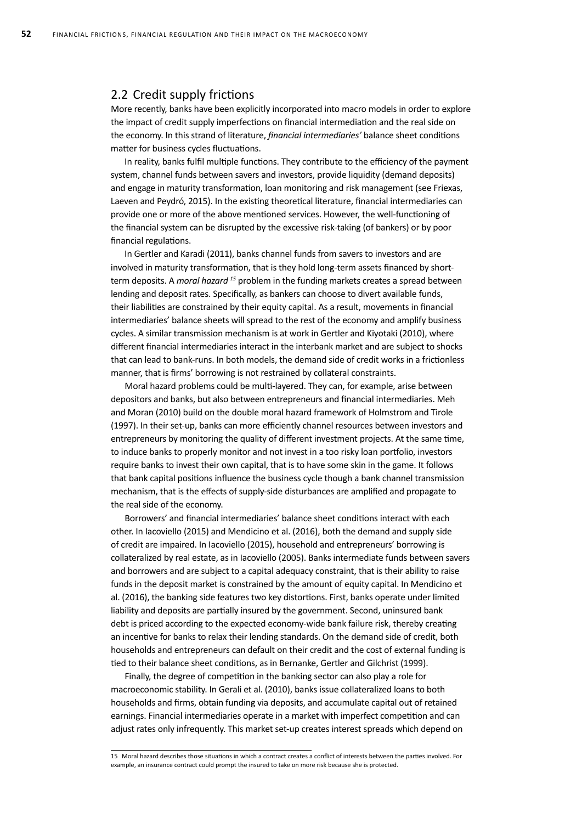#### 2.2 Credit supply frictions

More recently, banks have been explicitly incorporated into macro models in order to explore the impact of credit supply imperfections on financial intermediation and the real side on the economy. In this strand of literature, *financial intermediaries'* balance sheet conditions matter for business cycles fluctuations.

In reality, banks fulfil multiple functions. They contribute to the efficiency of the payment system, channel funds between savers and investors, provide liquidity (demand deposits) and engage in maturity transformation, loan monitoring and risk management (see Friexas, Laeven and Peydró, 2015). In the existing theoretical literature, financial intermediaries can provide one or more of the above mentioned services. However, the well-functioning of the financial system can be disrupted by the excessive risk-taking (of bankers) or by poor financial regulations.

In Gertler and Karadi (2011), banks channel funds from savers to investors and are involved in maturity transformation, that is they hold long-term assets financed by shortterm deposits. A *moral hazard <sup>15</sup>* problem in the funding markets creates a spread between lending and deposit rates. Specifically, as bankers can choose to divert available funds, their liabilities are constrained by their equity capital. As a result, movements in financial intermediaries' balance sheets will spread to the rest of the economy and amplify business cycles. A similar transmission mechanism is at work in Gertler and Kiyotaki (2010), where different financial intermediaries interact in the interbank market and are subject to shocks that can lead to bank-runs. In both models, the demand side of credit works in a frictionless manner, that is firms' borrowing is not restrained by collateral constraints.

Moral hazard problems could be multi-layered. They can, for example, arise between depositors and banks, but also between entrepreneurs and financial intermediaries. Meh and Moran (2010) build on the double moral hazard framework of Holmstrom and Tirole (1997). In their set-up, banks can more efficiently channel resources between investors and entrepreneurs by monitoring the quality of different investment projects. At the same time, to induce banks to properly monitor and not invest in a too risky loan portfolio, investors require banks to invest their own capital, that is to have some skin in the game. It follows that bank capital positions influence the business cycle though a bank channel transmission mechanism, that is the effects of supply-side disturbances are amplified and propagate to the real side of the economy.

Borrowers' and financial intermediaries' balance sheet conditions interact with each other. In Iacoviello (2015) and Mendicino et al. (2016), both the demand and supply side of credit are impaired. In Iacoviello (2015), household and entrepreneurs' borrowing is collateralized by real estate, as in Iacoviello (2005). Banks intermediate funds between savers and borrowers and are subject to a capital adequacy constraint, that is their ability to raise funds in the deposit market is constrained by the amount of equity capital. In Mendicino et al. (2016), the banking side features two key distortions. First, banks operate under limited liability and deposits are partially insured by the government. Second, uninsured bank debt is priced according to the expected economy-wide bank failure risk, thereby creating an incentive for banks to relax their lending standards. On the demand side of credit, both households and entrepreneurs can default on their credit and the cost of external funding is tied to their balance sheet conditions, as in Bernanke, Gertler and Gilchrist (1999).

Finally, the degree of competition in the banking sector can also play a role for macroeconomic stability. In Gerali et al. (2010), banks issue collateralized loans to both households and firms, obtain funding via deposits, and accumulate capital out of retained earnings. Financial intermediaries operate in a market with imperfect competition and can adjust rates only infrequently. This market set-up creates interest spreads which depend on

<sup>15</sup> Moral hazard describes those situations in which a contract creates a conflict of interests between the parties involved. For example, an insurance contract could prompt the insured to take on more risk because she is protected.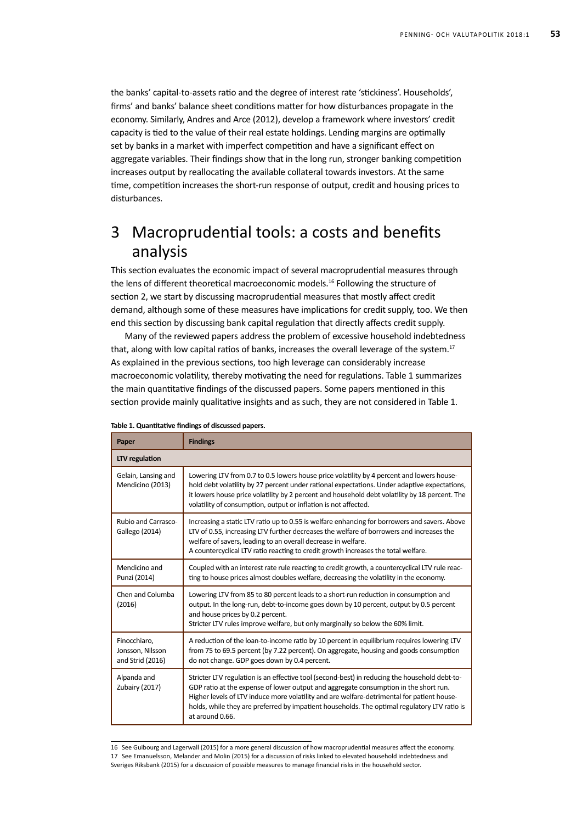the banks' capital-to-assets ratio and the degree of interest rate 'stickiness'. Households', firms' and banks' balance sheet conditions matter for how disturbances propagate in the economy. Similarly, Andres and Arce (2012), develop a framework where investors' credit capacity is tied to the value of their real estate holdings. Lending margins are optimally set by banks in a market with imperfect competition and have a significant effect on aggregate variables. Their findings show that in the long run, stronger banking competition increases output by reallocating the available collateral towards investors. At the same time, competition increases the short-run response of output, credit and housing prices to disturbances.

# 3 Macroprudential tools: a costs and benefits analysis

This section evaluates the economic impact of several macroprudential measures through the lens of different theoretical macroeconomic models.<sup>16</sup> Following the structure of section 2, we start by discussing macroprudential measures that mostly affect credit demand, although some of these measures have implications for credit supply, too. We then end this section by discussing bank capital regulation that directly affects credit supply.

Many of the reviewed papers address the problem of excessive household indebtedness that, along with low capital ratios of banks, increases the overall leverage of the system.<sup>17</sup> As explained in the previous sections, too high leverage can considerably increase macroeconomic volatility, thereby motivating the need for regulations. Table 1 summarizes the main quantitative findings of the discussed papers. Some papers mentioned in this section provide mainly qualitative insights and as such, they are not considered in Table 1.

| Paper                                                | <b>Findings</b>                                                                                                                                                                                                                                                                                                                                                                                        |  |
|------------------------------------------------------|--------------------------------------------------------------------------------------------------------------------------------------------------------------------------------------------------------------------------------------------------------------------------------------------------------------------------------------------------------------------------------------------------------|--|
| LTV regulation                                       |                                                                                                                                                                                                                                                                                                                                                                                                        |  |
| Gelain, Lansing and<br>Mendicino (2013)              | Lowering LTV from 0.7 to 0.5 lowers house price volatility by 4 percent and lowers house-<br>hold debt volatility by 27 percent under rational expectations. Under adaptive expectations,<br>it lowers house price volatility by 2 percent and household debt volatility by 18 percent. The<br>volatility of consumption, output or inflation is not affected.                                         |  |
| Rubio and Carrasco-<br>Gallego (2014)                | Increasing a static LTV ratio up to 0.55 is welfare enhancing for borrowers and savers. Above<br>LTV of 0.55, increasing LTV further decreases the welfare of borrowers and increases the<br>welfare of savers, leading to an overall decrease in welfare.<br>A countercyclical LTV ratio reacting to credit growth increases the total welfare.                                                       |  |
| Mendicino and<br>Punzi (2014)                        | Coupled with an interest rate rule reacting to credit growth, a countercyclical LTV rule reac-<br>ting to house prices almost doubles welfare, decreasing the volatility in the economy.                                                                                                                                                                                                               |  |
| Chen and Columba<br>(2016)                           | Lowering LTV from 85 to 80 percent leads to a short-run reduction in consumption and<br>output. In the long-run, debt-to-income goes down by 10 percent, output by 0.5 percent<br>and house prices by 0.2 percent.<br>Stricter LTV rules improve welfare, but only marginally so below the 60% limit.                                                                                                  |  |
| Finocchiaro,<br>Jonsson, Nilsson<br>and Strid (2016) | A reduction of the loan-to-income ratio by 10 percent in equilibrium requires lowering LTV<br>from 75 to 69.5 percent (by 7.22 percent). On aggregate, housing and goods consumption<br>do not change. GDP goes down by 0.4 percent.                                                                                                                                                                   |  |
| Alpanda and<br>Zubairy (2017)                        | Stricter LTV regulation is an effective tool (second-best) in reducing the household debt-to-<br>GDP ratio at the expense of lower output and aggregate consumption in the short run.<br>Higher levels of LTV induce more volatility and are welfare-detrimental for patient house-<br>holds, while they are preferred by impatient households. The optimal regulatory LTV ratio is<br>at around 0.66. |  |

#### **Table 1. Quantitative findings of discussed papers.**

16 See Guibourg and Lagerwall (2015) for a more general discussion of how macroprudential measures affect the economy. 17 See Emanuelsson, Melander and Molin (2015) for a discussion of risks linked to elevated household indebtedness and Sveriges Riksbank (2015) for a discussion of possible measures to manage financial risks in the household sector.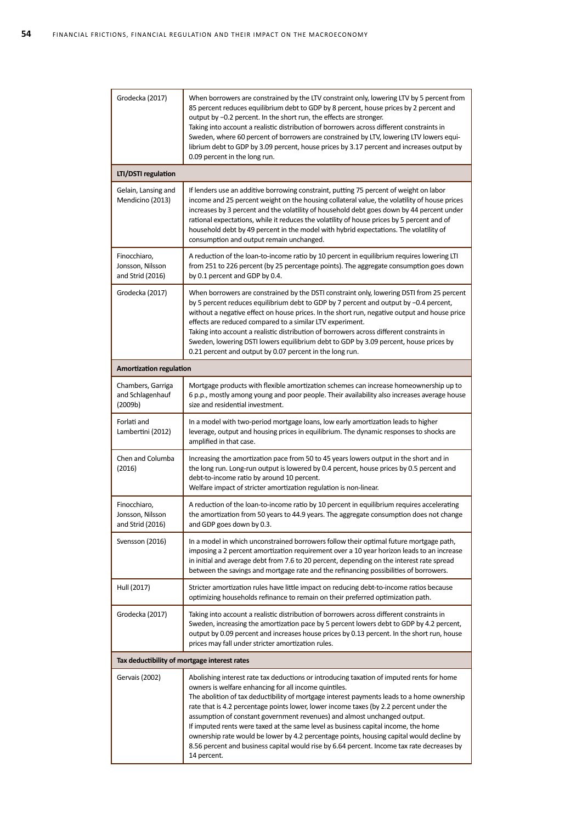| Grodecka (2017)                                      | When borrowers are constrained by the LTV constraint only, lowering LTV by 5 percent from<br>85 percent reduces equilibrium debt to GDP by 8 percent, house prices by 2 percent and<br>output by -0.2 percent. In the short run, the effects are stronger.<br>Taking into account a realistic distribution of borrowers across different constraints in<br>Sweden, where 60 percent of borrowers are constrained by LTV, lowering LTV lowers equi-<br>librium debt to GDP by 3.09 percent, house prices by 3.17 percent and increases output by<br>0.09 percent in the long run.                                                                                                                                      |  |
|------------------------------------------------------|-----------------------------------------------------------------------------------------------------------------------------------------------------------------------------------------------------------------------------------------------------------------------------------------------------------------------------------------------------------------------------------------------------------------------------------------------------------------------------------------------------------------------------------------------------------------------------------------------------------------------------------------------------------------------------------------------------------------------|--|
| LTI/DSTI regulation                                  |                                                                                                                                                                                                                                                                                                                                                                                                                                                                                                                                                                                                                                                                                                                       |  |
| Gelain, Lansing and<br>Mendicino (2013)              | If lenders use an additive borrowing constraint, putting 75 percent of weight on labor<br>income and 25 percent weight on the housing collateral value, the volatility of house prices<br>increases by 3 percent and the volatility of household debt goes down by 44 percent under<br>rational expectations, while it reduces the volatility of house prices by 5 percent and of<br>household debt by 49 percent in the model with hybrid expectations. The volatility of<br>consumption and output remain unchanged.                                                                                                                                                                                                |  |
| Finocchiaro,<br>Jonsson, Nilsson<br>and Strid (2016) | A reduction of the loan-to-income ratio by 10 percent in equilibrium requires lowering LTI<br>from 251 to 226 percent (by 25 percentage points). The aggregate consumption goes down<br>by 0.1 percent and GDP by 0.4.                                                                                                                                                                                                                                                                                                                                                                                                                                                                                                |  |
| Grodecka (2017)                                      | When borrowers are constrained by the DSTI constraint only, lowering DSTI from 25 percent<br>by 5 percent reduces equilibrium debt to GDP by 7 percent and output by -0.4 percent,<br>without a negative effect on house prices. In the short run, negative output and house price<br>effects are reduced compared to a similar LTV experiment.<br>Taking into account a realistic distribution of borrowers across different constraints in<br>Sweden, lowering DSTI lowers equilibrium debt to GDP by 3.09 percent, house prices by<br>0.21 percent and output by 0.07 percent in the long run.                                                                                                                     |  |
| <b>Amortization regulation</b>                       |                                                                                                                                                                                                                                                                                                                                                                                                                                                                                                                                                                                                                                                                                                                       |  |
| Chambers, Garriga<br>and Schlagenhauf<br>(2009b)     | Mortgage products with flexible amortization schemes can increase homeownership up to<br>6 p.p., mostly among young and poor people. Their availability also increases average house<br>size and residential investment.                                                                                                                                                                                                                                                                                                                                                                                                                                                                                              |  |
| Forlati and<br>Lambertini (2012)                     | In a model with two-period mortgage loans, low early amortization leads to higher<br>leverage, output and housing prices in equilibrium. The dynamic responses to shocks are<br>amplified in that case.                                                                                                                                                                                                                                                                                                                                                                                                                                                                                                               |  |
| Chen and Columba<br>(2016)                           | Increasing the amortization pace from 50 to 45 years lowers output in the short and in<br>the long run. Long-run output is lowered by 0.4 percent, house prices by 0.5 percent and<br>debt-to-income ratio by around 10 percent.<br>Welfare impact of stricter amortization regulation is non-linear.                                                                                                                                                                                                                                                                                                                                                                                                                 |  |
| Finocchiaro,<br>Jonsson, Nilsson<br>and Strid (2016) | A reduction of the loan-to-income ratio by 10 percent in equilibrium requires accelerating<br>the amortization from 50 years to 44.9 years. The aggregate consumption does not change<br>and GDP goes down by 0.3.                                                                                                                                                                                                                                                                                                                                                                                                                                                                                                    |  |
| Svensson (2016)                                      | In a model in which unconstrained borrowers follow their optimal future mortgage path,<br>imposing a 2 percent amortization requirement over a 10 year horizon leads to an increase<br>in initial and average debt from 7.6 to 20 percent, depending on the interest rate spread<br>between the savings and mortgage rate and the refinancing possibilities of borrowers.                                                                                                                                                                                                                                                                                                                                             |  |
| Hull (2017)                                          | Stricter amortization rules have little impact on reducing debt-to-income ratios because<br>optimizing households refinance to remain on their preferred optimization path.                                                                                                                                                                                                                                                                                                                                                                                                                                                                                                                                           |  |
| Grodecka (2017)                                      | Taking into account a realistic distribution of borrowers across different constraints in<br>Sweden, increasing the amortization pace by 5 percent lowers debt to GDP by 4.2 percent,<br>output by 0.09 percent and increases house prices by 0.13 percent. In the short run, house<br>prices may fall under stricter amortization rules.                                                                                                                                                                                                                                                                                                                                                                             |  |
| Tax deductibility of mortgage interest rates         |                                                                                                                                                                                                                                                                                                                                                                                                                                                                                                                                                                                                                                                                                                                       |  |
| Gervais (2002)                                       | Abolishing interest rate tax deductions or introducing taxation of imputed rents for home<br>owners is welfare enhancing for all income quintiles.<br>The abolition of tax deductibility of mortgage interest payments leads to a home ownership<br>rate that is 4.2 percentage points lower, lower income taxes (by 2.2 percent under the<br>assumption of constant government revenues) and almost unchanged output.<br>If imputed rents were taxed at the same level as business capital income, the home<br>ownership rate would be lower by 4.2 percentage points, housing capital would decline by<br>8.56 percent and business capital would rise by 6.64 percent. Income tax rate decreases by<br>14 percent. |  |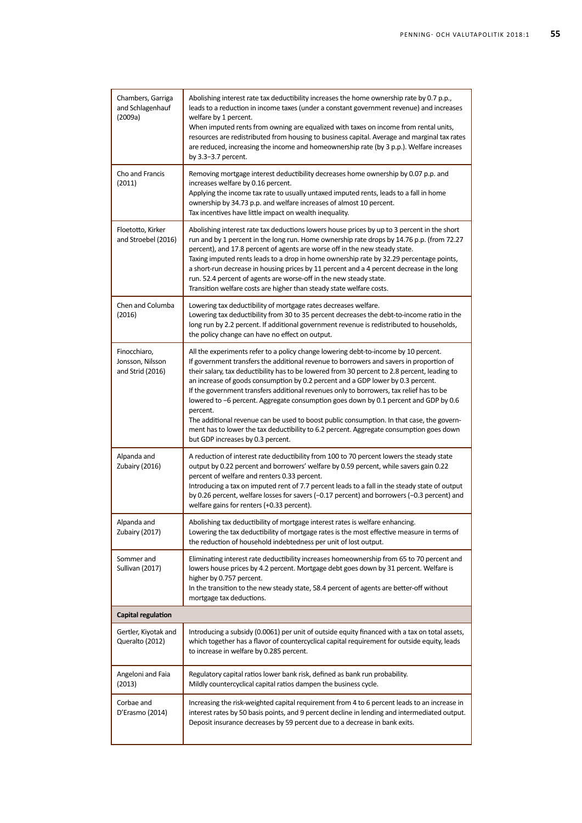| Chambers, Garriga<br>and Schlagenhauf<br>(2009a)     | Abolishing interest rate tax deductibility increases the home ownership rate by 0.7 p.p.,<br>leads to a reduction in income taxes (under a constant government revenue) and increases<br>welfare by 1 percent.<br>When imputed rents from owning are equalized with taxes on income from rental units,<br>resources are redistributed from housing to business capital. Average and marginal tax rates<br>are reduced, increasing the income and homeownership rate (by 3 p.p.). Welfare increases<br>by $3.3-3.7$ percent.                                                                                                                                                                                                                                                                   |  |
|------------------------------------------------------|-----------------------------------------------------------------------------------------------------------------------------------------------------------------------------------------------------------------------------------------------------------------------------------------------------------------------------------------------------------------------------------------------------------------------------------------------------------------------------------------------------------------------------------------------------------------------------------------------------------------------------------------------------------------------------------------------------------------------------------------------------------------------------------------------|--|
| Cho and Francis<br>(2011)                            | Removing mortgage interest deductibility decreases home ownership by 0.07 p.p. and<br>increases welfare by 0.16 percent.<br>Applying the income tax rate to usually untaxed imputed rents, leads to a fall in home<br>ownership by 34.73 p.p. and welfare increases of almost 10 percent.<br>Tax incentives have little impact on wealth inequality.                                                                                                                                                                                                                                                                                                                                                                                                                                          |  |
| Floetotto, Kirker<br>and Stroebel (2016)             | Abolishing interest rate tax deductions lowers house prices by up to 3 percent in the short<br>run and by 1 percent in the long run. Home ownership rate drops by 14.76 p.p. (from 72.27<br>percent), and 17.8 percent of agents are worse off in the new steady state.<br>Taxing imputed rents leads to a drop in home ownership rate by 32.29 percentage points,<br>a short-run decrease in housing prices by 11 percent and a 4 percent decrease in the long<br>run. 52.4 percent of agents are worse-off in the new steady state.<br>Transition welfare costs are higher than steady state welfare costs.                                                                                                                                                                                 |  |
| Chen and Columba<br>(2016)                           | Lowering tax deductibility of mortgage rates decreases welfare.<br>Lowering tax deductibility from 30 to 35 percent decreases the debt-to-income ratio in the<br>long run by 2.2 percent. If additional government revenue is redistributed to households,<br>the policy change can have no effect on output.                                                                                                                                                                                                                                                                                                                                                                                                                                                                                 |  |
| Finocchiaro,<br>Jonsson, Nilsson<br>and Strid (2016) | All the experiments refer to a policy change lowering debt-to-income by 10 percent.<br>If government transfers the additional revenue to borrowers and savers in proportion of<br>their salary, tax deductibility has to be lowered from 30 percent to 2.8 percent, leading to<br>an increase of goods consumption by 0.2 percent and a GDP lower by 0.3 percent.<br>If the government transfers additional revenues only to borrowers, tax relief has to be<br>lowered to -6 percent. Aggregate consumption goes down by 0.1 percent and GDP by 0.6<br>percent.<br>The additional revenue can be used to boost public consumption. In that case, the govern-<br>ment has to lower the tax deductibility to 6.2 percent. Aggregate consumption goes down<br>but GDP increases by 0.3 percent. |  |
| Alpanda and<br>Zubairy (2016)                        | A reduction of interest rate deductibility from 100 to 70 percent lowers the steady state<br>output by 0.22 percent and borrowers' welfare by 0.59 percent, while savers gain 0.22<br>percent of welfare and renters 0.33 percent.<br>Introducing a tax on imputed rent of 7.7 percent leads to a fall in the steady state of output<br>by 0.26 percent, welfare losses for savers (-0.17 percent) and borrowers (-0.3 percent) and<br>welfare gains for renters (+0.33 percent).                                                                                                                                                                                                                                                                                                             |  |
| Alpanda and<br>Zubairy (2017)                        | Abolishing tax deductibility of mortgage interest rates is welfare enhancing.<br>Lowering the tax deductibility of mortgage rates is the most effective measure in terms of<br>the reduction of household indebtedness per unit of lost output.                                                                                                                                                                                                                                                                                                                                                                                                                                                                                                                                               |  |
| Sommer and<br>Sullivan (2017)                        | Eliminating interest rate deductibility increases homeownership from 65 to 70 percent and<br>lowers house prices by 4.2 percent. Mortgage debt goes down by 31 percent. Welfare is<br>higher by 0.757 percent.<br>In the transition to the new steady state, 58.4 percent of agents are better-off without<br>mortgage tax deductions.                                                                                                                                                                                                                                                                                                                                                                                                                                                        |  |
| Capital regulation                                   |                                                                                                                                                                                                                                                                                                                                                                                                                                                                                                                                                                                                                                                                                                                                                                                               |  |
| Gertler, Kiyotak and<br>Queralto (2012)              | Introducing a subsidy (0.0061) per unit of outside equity financed with a tax on total assets,<br>which together has a flavor of countercyclical capital requirement for outside equity, leads<br>to increase in welfare by 0.285 percent.                                                                                                                                                                                                                                                                                                                                                                                                                                                                                                                                                    |  |
| Angeloni and Faia<br>(2013)                          | Regulatory capital ratios lower bank risk, defined as bank run probability.<br>Mildly countercyclical capital ratios dampen the business cycle.                                                                                                                                                                                                                                                                                                                                                                                                                                                                                                                                                                                                                                               |  |
| Corbae and<br>D'Erasmo (2014)                        | Increasing the risk-weighted capital requirement from 4 to 6 percent leads to an increase in<br>interest rates by 50 basis points, and 9 percent decline in lending and intermediated output.<br>Deposit insurance decreases by 59 percent due to a decrease in bank exits.                                                                                                                                                                                                                                                                                                                                                                                                                                                                                                                   |  |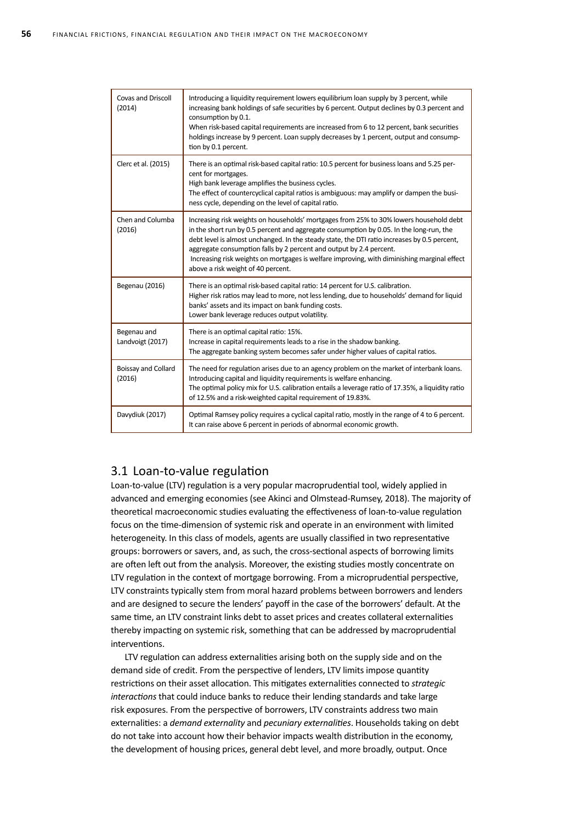| <b>Covas and Driscoll</b><br>(2014) | Introducing a liquidity requirement lowers equilibrium loan supply by 3 percent, while<br>increasing bank holdings of safe securities by 6 percent. Output declines by 0.3 percent and<br>consumption by 0.1.<br>When risk-based capital requirements are increased from 6 to 12 percent, bank securities<br>holdings increase by 9 percent. Loan supply decreases by 1 percent, output and consump-<br>tion by 0.1 percent.                                                                  |
|-------------------------------------|-----------------------------------------------------------------------------------------------------------------------------------------------------------------------------------------------------------------------------------------------------------------------------------------------------------------------------------------------------------------------------------------------------------------------------------------------------------------------------------------------|
| Clerc et al. (2015)                 | There is an optimal risk-based capital ratio: 10.5 percent for business loans and 5.25 per-<br>cent for mortgages.<br>High bank leverage amplifies the business cycles.<br>The effect of countercyclical capital ratios is ambiguous: may amplify or dampen the busi-<br>ness cycle, depending on the level of capital ratio.                                                                                                                                                                 |
| Chen and Columba<br>(2016)          | Increasing risk weights on households' mortgages from 25% to 30% lowers household debt<br>in the short run by 0.5 percent and aggregate consumption by 0.05. In the long-run, the<br>debt level is almost unchanged. In the steady state, the DTI ratio increases by 0.5 percent,<br>aggregate consumption falls by 2 percent and output by 2.4 percent.<br>Increasing risk weights on mortgages is welfare improving, with diminishing marginal effect<br>above a risk weight of 40 percent. |
| Begenau (2016)                      | There is an optimal risk-based capital ratio: 14 percent for U.S. calibration.<br>Higher risk ratios may lead to more, not less lending, due to households' demand for liquid<br>banks' assets and its impact on bank funding costs.<br>Lower bank leverage reduces output volatility.                                                                                                                                                                                                        |
| Begenau and<br>Landvoigt (2017)     | There is an optimal capital ratio: 15%.<br>Increase in capital requirements leads to a rise in the shadow banking.<br>The aggregate banking system becomes safer under higher values of capital ratios.                                                                                                                                                                                                                                                                                       |
| Boissay and Collard<br>(2016)       | The need for regulation arises due to an agency problem on the market of interbank loans.<br>Introducing capital and liquidity requirements is welfare enhancing.<br>The optimal policy mix for U.S. calibration entails a leverage ratio of 17.35%, a liquidity ratio<br>of 12.5% and a risk-weighted capital requirement of 19.83%.                                                                                                                                                         |
| Davydiuk (2017)                     | Optimal Ramsey policy requires a cyclical capital ratio, mostly in the range of 4 to 6 percent.<br>It can raise above 6 percent in periods of abnormal economic growth.                                                                                                                                                                                                                                                                                                                       |

### 3.1 Loan-to-value regulation

Loan-to-value (LTV) regulation is a very popular macroprudential tool, widely applied in advanced and emerging economies (see Akinci and Olmstead-Rumsey, 2018). The majority of theoretical macroeconomic studies evaluating the effectiveness of loan-to-value regulation focus on the time-dimension of systemic risk and operate in an environment with limited heterogeneity. In this class of models, agents are usually classified in two representative groups: borrowers or savers, and, as such, the cross-sectional aspects of borrowing limits are often left out from the analysis. Moreover, the existing studies mostly concentrate on LTV regulation in the context of mortgage borrowing. From a microprudential perspective, LTV constraints typically stem from moral hazard problems between borrowers and lenders and are designed to secure the lenders' payoff in the case of the borrowers' default. At the same time, an LTV constraint links debt to asset prices and creates collateral externalities thereby impacting on systemic risk, something that can be addressed by macroprudential interventions.

LTV regulation can address externalities arising both on the supply side and on the demand side of credit. From the perspective of lenders, LTV limits impose quantity restrictions on their asset allocation. This mitigates externalities connected to *strategic interactions* that could induce banks to reduce their lending standards and take large risk exposures. From the perspective of borrowers, LTV constraints address two main externalities: a *demand externality* and *pecuniary externalities*. Households taking on debt do not take into account how their behavior impacts wealth distribution in the economy, the development of housing prices, general debt level, and more broadly, output. Once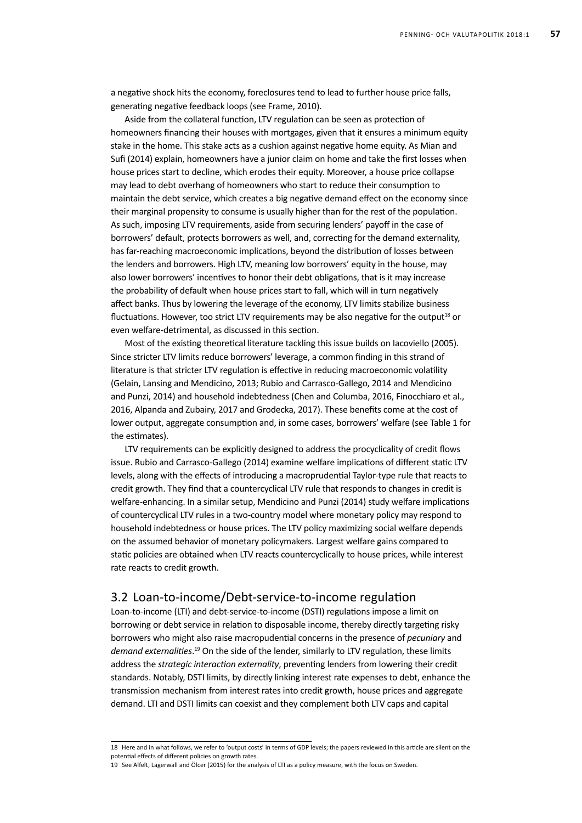a negative shock hits the economy, foreclosures tend to lead to further house price falls, generating negative feedback loops (see Frame, 2010).

Aside from the collateral function, LTV regulation can be seen as protection of homeowners financing their houses with mortgages, given that it ensures a minimum equity stake in the home. This stake acts as a cushion against negative home equity. As Mian and Sufi (2014) explain, homeowners have a junior claim on home and take the first losses when house prices start to decline, which erodes their equity. Moreover, a house price collapse may lead to debt overhang of homeowners who start to reduce their consumption to maintain the debt service, which creates a big negative demand effect on the economy since their marginal propensity to consume is usually higher than for the rest of the population. As such, imposing LTV requirements, aside from securing lenders' payoff in the case of borrowers' default, protects borrowers as well, and, correcting for the demand externality, has far-reaching macroeconomic implications, beyond the distribution of losses between the lenders and borrowers. High LTV, meaning low borrowers' equity in the house, may also lower borrowers' incentives to honor their debt obligations, that is it may increase the probability of default when house prices start to fall, which will in turn negatively affect banks. Thus by lowering the leverage of the economy, LTV limits stabilize business fluctuations. However, too strict LTV requirements may be also negative for the output<sup>18</sup> or even welfare-detrimental, as discussed in this section.

Most of the existing theoretical literature tackling this issue builds on Iacoviello (2005). Since stricter LTV limits reduce borrowers' leverage, a common finding in this strand of literature is that stricter LTV regulation is effective in reducing macroeconomic volatility (Gelain, Lansing and Mendicino, 2013; Rubio and Carrasco-Gallego, 2014 and Mendicino and Punzi, 2014) and household indebtedness (Chen and Columba, 2016, Finocchiaro et al., 2016, Alpanda and Zubairy, 2017 and Grodecka, 2017). These benefits come at the cost of lower output, aggregate consumption and, in some cases, borrowers' welfare (see Table 1 for the estimates).

LTV requirements can be explicitly designed to address the procyclicality of credit flows issue. Rubio and Carrasco-Gallego (2014) examine welfare implications of different static LTV levels, along with the effects of introducing a macroprudential Taylor-type rule that reacts to credit growth. They find that a countercyclical LTV rule that responds to changes in credit is welfare-enhancing. In a similar setup, Mendicino and Punzi (2014) study welfare implications of countercyclical LTV rules in a two-country model where monetary policy may respond to household indebtedness or house prices. The LTV policy maximizing social welfare depends on the assumed behavior of monetary policymakers. Largest welfare gains compared to static policies are obtained when LTV reacts countercyclically to house prices, while interest rate reacts to credit growth.

#### 3.2 Loan-to-income/Debt-service-to-income regulation

Loan-to-income (LTI) and debt-service-to-income (DSTI) regulations impose a limit on borrowing or debt service in relation to disposable income, thereby directly targeting risky borrowers who might also raise macropudential concerns in the presence of *pecuniary* and demand externalities.<sup>19</sup> On the side of the lender, similarly to LTV regulation, these limits address the *strategic interaction externality*, preventing lenders from lowering their credit standards. Notably, DSTI limits, by directly linking interest rate expenses to debt, enhance the transmission mechanism from interest rates into credit growth, house prices and aggregate demand. LTI and DSTI limits can coexist and they complement both LTV caps and capital

<sup>18</sup> Here and in what follows, we refer to 'output costs' in terms of GDP levels; the papers reviewed in this article are silent on the potential effects of different policies on growth rates.

<sup>19</sup> See Alfelt, Lagerwall and Ölcer (2015) for the analysis of LTI as a policy measure, with the focus on Sweden.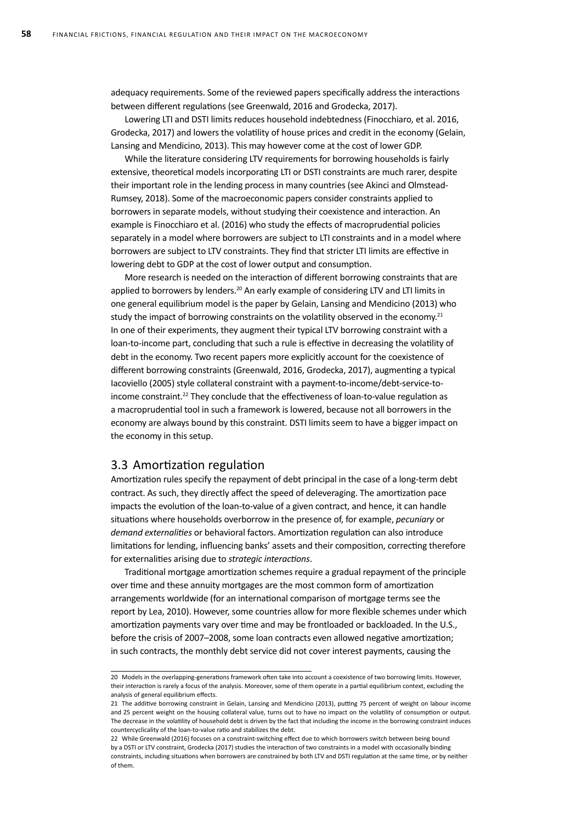adequacy requirements. Some of the reviewed papers specifically address the interactions between different regulations (see Greenwald, 2016 and Grodecka, 2017).

Lowering LTI and DSTI limits reduces household indebtedness (Finocchiaro, et al. 2016, Grodecka, 2017) and lowers the volatility of house prices and credit in the economy (Gelain, Lansing and Mendicino, 2013). This may however come at the cost of lower GDP.

While the literature considering LTV requirements for borrowing households is fairly extensive, theoretical models incorporating LTI or DSTI constraints are much rarer, despite their important role in the lending process in many countries (see Akinci and Olmstead-Rumsey, 2018). Some of the macroeconomic papers consider constraints applied to borrowers in separate models, without studying their coexistence and interaction. An example is Finocchiaro et al. (2016) who study the effects of macroprudential policies separately in a model where borrowers are subject to LTI constraints and in a model where borrowers are subject to LTV constraints. They find that stricter LTI limits are effective in lowering debt to GDP at the cost of lower output and consumption.

More research is needed on the interaction of different borrowing constraints that are applied to borrowers by lenders.<sup>20</sup> An early example of considering LTV and LTI limits in one general equilibrium model is the paper by Gelain, Lansing and Mendicino (2013) who study the impact of borrowing constraints on the volatility observed in the economy.<sup>21</sup> In one of their experiments, they augment their typical LTV borrowing constraint with a loan-to-income part, concluding that such a rule is effective in decreasing the volatility of debt in the economy. Two recent papers more explicitly account for the coexistence of different borrowing constraints (Greenwald, 2016, Grodecka, 2017), augmenting a typical Iacoviello (2005) style collateral constraint with a payment-to-income/debt-service-toincome constraint.<sup>22</sup> They conclude that the effectiveness of loan-to-value regulation as a macroprudential tool in such a framework is lowered, because not all borrowers in the economy are always bound by this constraint. DSTI limits seem to have a bigger impact on the economy in this setup.

#### 3.3 Amortization regulation

Amortization rules specify the repayment of debt principal in the case of a long-term debt contract. As such, they directly affect the speed of deleveraging. The amortization pace impacts the evolution of the loan-to-value of a given contract, and hence, it can handle situations where households overborrow in the presence of, for example, *pecuniary* or *demand externalities* or behavioral factors. Amortization regulation can also introduce limitations for lending, influencing banks' assets and their composition, correcting therefore for externalities arising due to *strategic interactions*.

Traditional mortgage amortization schemes require a gradual repayment of the principle over time and these annuity mortgages are the most common form of amortization arrangements worldwide (for an international comparison of mortgage terms see the report by Lea, 2010). However, some countries allow for more flexible schemes under which amortization payments vary over time and may be frontloaded or backloaded. In the U.S., before the crisis of 2007–2008, some loan contracts even allowed negative amortization; in such contracts, the monthly debt service did not cover interest payments, causing the

<sup>20</sup> Models in the overlapping-generations framework often take into account a coexistence of two borrowing limits. However, their interaction is rarely a focus of the analysis. Moreover, some of them operate in a partial equilibrium context, excluding the analysis of general equilibrium effects.

<sup>21</sup> The additive borrowing constraint in Gelain, Lansing and Mendicino (2013), putting 75 percent of weight on labour income and 25 percent weight on the housing collateral value, turns out to have no impact on the volatility of consumption or output. The decrease in the volatility of household debt is driven by the fact that including the income in the borrowing constraint induces countercyclicality of the loan-to-value ratio and stabilizes the debt.

<sup>22</sup> While Greenwald (2016) focuses on a constraint-switching effect due to which borrowers switch between being bound by a DSTI or LTV constraint, Grodecka (2017) studies the interaction of two constraints in a model with occasionally binding constraints, including situations when borrowers are constrained by both LTV and DSTI regulation at the same time, or by neither of them.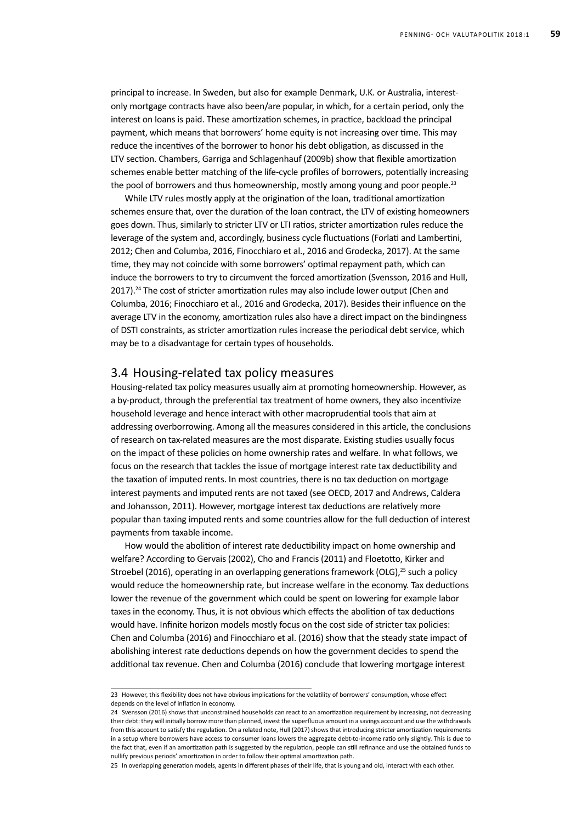principal to increase. In Sweden, but also for example Denmark, U.K. or Australia, interestonly mortgage contracts have also been/are popular, in which, for a certain period, only the interest on loans is paid. These amortization schemes, in practice, backload the principal payment, which means that borrowers' home equity is not increasing over time. This may reduce the incentives of the borrower to honor his debt obligation, as discussed in the LTV section. Chambers, Garriga and Schlagenhauf (2009b) show that flexible amortization schemes enable better matching of the life-cycle profiles of borrowers, potentially increasing the pool of borrowers and thus homeownership, mostly among young and poor people.<sup>23</sup>

While LTV rules mostly apply at the origination of the loan, traditional amortization schemes ensure that, over the duration of the loan contract, the LTV of existing homeowners goes down. Thus, similarly to stricter LTV or LTI ratios, stricter amortization rules reduce the leverage of the system and, accordingly, business cycle fluctuations (Forlati and Lambertini, 2012; Chen and Columba, 2016, Finocchiaro et al., 2016 and Grodecka, 2017). At the same time, they may not coincide with some borrowers' optimal repayment path, which can induce the borrowers to try to circumvent the forced amortization (Svensson, 2016 and Hull, 2017).<sup>24</sup> The cost of stricter amortization rules may also include lower output (Chen and Columba, 2016; Finocchiaro et al., 2016 and Grodecka, 2017). Besides their influence on the average LTV in the economy, amortization rules also have a direct impact on the bindingness of DSTI constraints, as stricter amortization rules increase the periodical debt service, which may be to a disadvantage for certain types of households.

#### 3.4 Housing-related tax policy measures

Housing-related tax policy measures usually aim at promoting homeownership. However, as a by-product, through the preferential tax treatment of home owners, they also incentivize household leverage and hence interact with other macroprudential tools that aim at addressing overborrowing. Among all the measures considered in this article, the conclusions of research on tax-related measures are the most disparate. Existing studies usually focus on the impact of these policies on home ownership rates and welfare. In what follows, we focus on the research that tackles the issue of mortgage interest rate tax deductibility and the taxation of imputed rents. In most countries, there is no tax deduction on mortgage interest payments and imputed rents are not taxed (see OECD, 2017 and Andrews, Caldera and Johansson, 2011). However, mortgage interest tax deductions are relatively more popular than taxing imputed rents and some countries allow for the full deduction of interest payments from taxable income.

How would the abolition of interest rate deductibility impact on home ownership and welfare? According to Gervais (2002), Cho and Francis (2011) and Floetotto, Kirker and Stroebel (2016), operating in an overlapping generations framework (OLG), $^{25}$  such a policy would reduce the homeownership rate, but increase welfare in the economy. Tax deductions lower the revenue of the government which could be spent on lowering for example labor taxes in the economy. Thus, it is not obvious which effects the abolition of tax deductions would have. Infinite horizon models mostly focus on the cost side of stricter tax policies: Chen and Columba (2016) and Finocchiaro et al. (2016) show that the steady state impact of abolishing interest rate deductions depends on how the government decides to spend the additional tax revenue. Chen and Columba (2016) conclude that lowering mortgage interest

<sup>23</sup> However, this flexibility does not have obvious implications for the volatility of borrowers' consumption, whose effect depends on the level of inflation in economy.

<sup>24</sup> Svensson (2016) shows that unconstrained households can react to an amortization requirement by increasing, not decreasing their debt: they will initially borrow more than planned, invest the superfluous amount in a savings account and use the withdrawals from this account to satisfy the regulation. On a related note, Hull (2017) shows that introducing stricter amortization requirements in a setup where borrowers have access to consumer loans lowers the aggregate debt-to-income ratio only slightly. This is due to the fact that, even if an amortization path is suggested by the regulation, people can still refinance and use the obtained funds to nullify previous periods' amortization in order to follow their optimal amortization path.

<sup>25</sup> In overlapping generation models, agents in different phases of their life, that is young and old, interact with each other.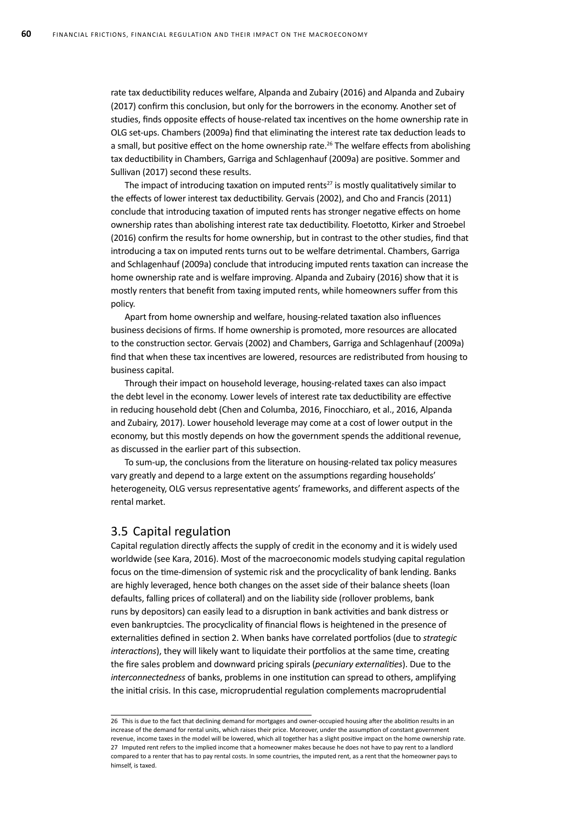rate tax deductibility reduces welfare, Alpanda and Zubairy (2016) and Alpanda and Zubairy (2017) confirm this conclusion, but only for the borrowers in the economy. Another set of studies, finds opposite effects of house-related tax incentives on the home ownership rate in OLG set-ups. Chambers (2009a) find that eliminating the interest rate tax deduction leads to a small, but positive effect on the home ownership rate.<sup>26</sup> The welfare effects from abolishing tax deductibility in Chambers, Garriga and Schlagenhauf (2009a) are positive. Sommer and Sullivan (2017) second these results.

The impact of introducing taxation on imputed rents<sup>27</sup> is mostly qualitatively similar to the effects of lower interest tax deductibility. Gervais (2002), and Cho and Francis (2011) conclude that introducing taxation of imputed rents has stronger negative effects on home ownership rates than abolishing interest rate tax deductibility. Floetotto, Kirker and Stroebel (2016) confirm the results for home ownership, but in contrast to the other studies, find that introducing a tax on imputed rents turns out to be welfare detrimental. Chambers, Garriga and Schlagenhauf (2009a) conclude that introducing imputed rents taxation can increase the home ownership rate and is welfare improving. Alpanda and Zubairy (2016) show that it is mostly renters that benefit from taxing imputed rents, while homeowners suffer from this policy.

Apart from home ownership and welfare, housing-related taxation also influences business decisions of firms. If home ownership is promoted, more resources are allocated to the construction sector. Gervais (2002) and Chambers, Garriga and Schlagenhauf (2009a) find that when these tax incentives are lowered, resources are redistributed from housing to business capital.

Through their impact on household leverage, housing-related taxes can also impact the debt level in the economy. Lower levels of interest rate tax deductibility are effective in reducing household debt (Chen and Columba, 2016, Finocchiaro, et al., 2016, Alpanda and Zubairy, 2017). Lower household leverage may come at a cost of lower output in the economy, but this mostly depends on how the government spends the additional revenue, as discussed in the earlier part of this subsection.

To sum-up, the conclusions from the literature on housing-related tax policy measures vary greatly and depend to a large extent on the assumptions regarding households' heterogeneity, OLG versus representative agents' frameworks, and different aspects of the rental market.

#### 3.5 Capital regulation

Capital regulation directly affects the supply of credit in the economy and it is widely used worldwide (see Kara, 2016). Most of the macroeconomic models studying capital regulation focus on the time-dimension of systemic risk and the procyclicality of bank lending. Banks are highly leveraged, hence both changes on the asset side of their balance sheets (loan defaults, falling prices of collateral) and on the liability side (rollover problems, bank runs by depositors) can easily lead to a disruption in bank activities and bank distress or even bankruptcies. The procyclicality of financial flows is heightened in the presence of externalities defined in section 2. When banks have correlated portfolios (due to *strategic interactions*), they will likely want to liquidate their portfolios at the same time, creating the fire sales problem and downward pricing spirals (*pecuniary externalities*). Due to the *interconnectedness* of banks, problems in one institution can spread to others, amplifying the initial crisis. In this case, microprudential regulation complements macroprudential

<sup>26</sup> This is due to the fact that declining demand for mortgages and owner-occupied housing after the abolition results in an increase of the demand for rental units, which raises their price. Moreover, under the assumption of constant government revenue, income taxes in the model will be lowered, which all together has a slight positive impact on the home ownership rate. 27 Imputed rent refers to the implied income that a homeowner makes because he does not have to pay rent to a landlord compared to a renter that has to pay rental costs. In some countries, the imputed rent, as a rent that the homeowner pays to himself, is taxed.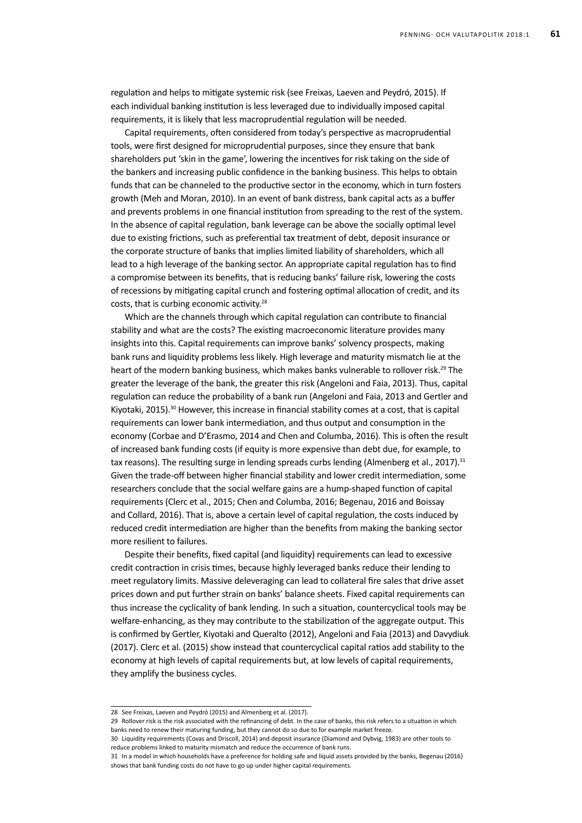regulation and helps to mitigate systemic risk (see Freixas, Laeven and Peydró, 2015). If each individual banking institution is less leveraged due to individually imposed capital requirements, it is likely that less macroprudential regulation will be needed.

Capital requirements, often considered from today's perspective as macroprudential tools, were first designed for microprudential purposes, since they ensure that bank shareholders put 'skin in the game', lowering the incentives for risk taking on the side of the bankers and increasing public confidence in the banking business. This helps to obtain funds that can be channeled to the productive sector in the economy, which in turn fosters growth (Meh and Moran, 2010). In an event of bank distress, bank capital acts as a buffer and prevents problems in one financial institution from spreading to the rest of the system. In the absence of capital regulation, bank leverage can be above the socially optimal level due to existing frictions, such as preferential tax treatment of debt, deposit insurance or the corporate structure of banks that implies limited liability of shareholders, which all lead to a high leverage of the banking sector. An appropriate capital regulation has to find a compromise between its benefits, that is reducing banks' failure risk, lowering the costs of recessions by mitigating capital crunch and fostering optimal allocation of credit, and its costs, that is curbing economic activity.<sup>28</sup>

Which are the channels through which capital regulation can contribute to financial stability and what are the costs? The existing macroeconomic literature provides many insights into this. Capital requirements can improve banks' solvency prospects, making bank runs and liquidity problems less likely. High leverage and maturity mismatch lie at the heart of the modern banking business, which makes banks vulnerable to rollover risk.<sup>29</sup> The greater the leverage of the bank, the greater this risk (Angeloni and Faia, 2013). Thus, capital regulation can reduce the probability of a bank run (Angeloni and Faia, 2013 and Gertler and Kiyotaki, 2015).<sup>30</sup> However, this increase in financial stability comes at a cost, that is capital requirements can lower bank intermediation, and thus output and consumption in the economy (Corbae and D'Erasmo, 2014 and Chen and Columba, 2016). This is often the result of increased bank funding costs (if equity is more expensive than debt due, for example, to tax reasons). The resulting surge in lending spreads curbs lending (Almenberg et al., 2017).<sup>31</sup> Given the trade-off between higher financial stability and lower credit intermediation, some researchers conclude that the social welfare gains are a hump-shaped function of capital requirements (Clerc et al., 2015; Chen and Columba, 2016; Begenau, 2016 and Boissay and Collard, 2016). That is, above a certain level of capital regulation, the costs induced by reduced credit intermediation are higher than the benefits from making the banking sector more resilient to failures.

Despite their benefits, fixed capital (and liquidity) requirements can lead to excessive credit contraction in crisis times, because highly leveraged banks reduce their lending to meet regulatory limits. Massive deleveraging can lead to collateral fire sales that drive asset prices down and put further strain on banks' balance sheets. Fixed capital requirements can thus increase the cyclicality of bank lending. In such a situation, countercyclical tools may be welfare-enhancing, as they may contribute to the stabilization of the aggregate output. This is confirmed by Gertler, Kiyotaki and Queralto (2012), Angeloni and Faia (2013) and Davydiuk (2017). Clerc et al. (2015) show instead that countercyclical capital ratios add stability to the economy at high levels of capital requirements but, at low levels of capital requirements, they amplify the business cycles.

<sup>28</sup> See Freixas, Laeven and Peydró (2015) and Almenberg et al. (2017).

<sup>29</sup> Rollover risk is the risk associated with the refinancing of debt. In the case of banks, this risk refers to a situation in which banks need to renew their maturing funding, but they cannot do so due to for example market freeze.

<sup>30</sup> Liquidity requirements (Covas and Driscoll, 2014) and deposit insurance (Diamond and Dybvig, 1983) are other tools to reduce problems linked to maturity mismatch and reduce the occurrence of bank runs.

<sup>31</sup> In a model in which households have a preference for holding safe and liquid assets provided by the banks, Begenau (2016) shows that bank funding costs do not have to go up under higher capital requirements.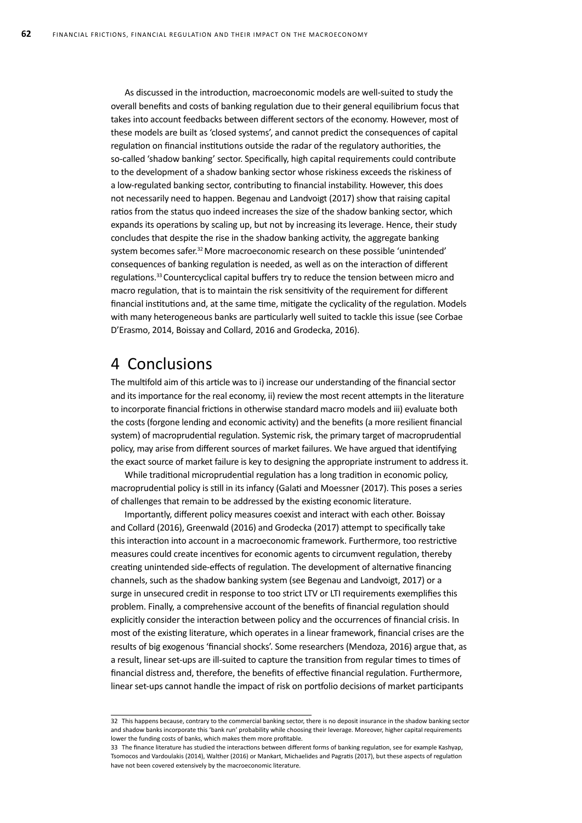As discussed in the introduction, macroeconomic models are well-suited to study the overall benefits and costs of banking regulation due to their general equilibrium focus that takes into account feedbacks between different sectors of the economy. However, most of these models are built as 'closed systems', and cannot predict the consequences of capital regulation on financial institutions outside the radar of the regulatory authorities, the so-called 'shadow banking' sector. Specifically, high capital requirements could contribute to the development of a shadow banking sector whose riskiness exceeds the riskiness of a low-regulated banking sector, contributing to financial instability. However, this does not necessarily need to happen. Begenau and Landvoigt (2017) show that raising capital ratios from the status quo indeed increases the size of the shadow banking sector, which expands its operations by scaling up, but not by increasing its leverage. Hence, their study concludes that despite the rise in the shadow banking activity, the aggregate banking system becomes safer.<sup>32</sup> More macroeconomic research on these possible 'unintended' consequences of banking regulation is needed, as well as on the interaction of different regulations.<sup>33</sup> Countercyclical capital buffers try to reduce the tension between micro and macro regulation, that is to maintain the risk sensitivity of the requirement for different financial institutions and, at the same time, mitigate the cyclicality of the regulation. Models with many heterogeneous banks are particularly well suited to tackle this issue (see Corbae D'Erasmo, 2014, Boissay and Collard, 2016 and Grodecka, 2016).

# 4 Conclusions

The multifold aim of this article was to i) increase our understanding of the financial sector and its importance for the real economy, ii) review the most recent attempts in the literature to incorporate financial frictions in otherwise standard macro models and iii) evaluate both the costs (forgone lending and economic activity) and the benefits (a more resilient financial system) of macroprudential regulation. Systemic risk, the primary target of macroprudential policy, may arise from different sources of market failures. We have argued that identifying the exact source of market failure is key to designing the appropriate instrument to address it.

While traditional microprudential regulation has a long tradition in economic policy, macroprudential policy is still in its infancy (Galati and Moessner (2017). This poses a series of challenges that remain to be addressed by the existing economic literature.

Importantly, different policy measures coexist and interact with each other. Boissay and Collard (2016), Greenwald (2016) and Grodecka (2017) attempt to specifically take this interaction into account in a macroeconomic framework. Furthermore, too restrictive measures could create incentives for economic agents to circumvent regulation, thereby creating unintended side-effects of regulation. The development of alternative financing channels, such as the shadow banking system (see Begenau and Landvoigt, 2017) or a surge in unsecured credit in response to too strict LTV or LTI requirements exemplifies this problem. Finally, a comprehensive account of the benefits of financial regulation should explicitly consider the interaction between policy and the occurrences of financial crisis. In most of the existing literature, which operates in a linear framework, financial crises are the results of big exogenous 'financial shocks'. Some researchers (Mendoza, 2016) argue that, as a result, linear set-ups are ill-suited to capture the transition from regular times to times of financial distress and, therefore, the benefits of effective financial regulation. Furthermore, linear set-ups cannot handle the impact of risk on portfolio decisions of market participants

<sup>32</sup> This happens because, contrary to the commercial banking sector, there is no deposit insurance in the shadow banking sector and shadow banks incorporate this 'bank run' probability while choosing their leverage. Moreover, higher capital requirements lower the funding costs of banks, which makes them more profitable.

<sup>33</sup> The finance literature has studied the interactions between different forms of banking regulation, see for example Kashyap, Tsomocos and Vardoulakis (2014), Walther (2016) or Mankart, Michaelides and Pagratis (2017), but these aspects of regulation have not been covered extensively by the macroeconomic literature.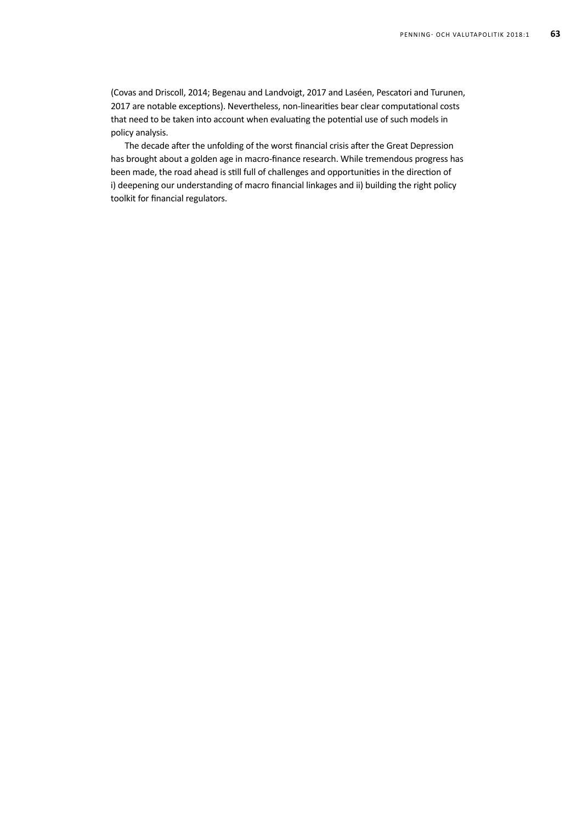(Covas and Driscoll, 2014; Begenau and Landvoigt, 2017 and Laséen, Pescatori and Turunen, 2017 are notable exceptions). Nevertheless, non-linearities bear clear computational costs that need to be taken into account when evaluating the potential use of such models in policy analysis.

The decade after the unfolding of the worst financial crisis after the Great Depression has brought about a golden age in macro-finance research. While tremendous progress has been made, the road ahead is still full of challenges and opportunities in the direction of i) deepening our understanding of macro financial linkages and ii) building the right policy toolkit for financial regulators.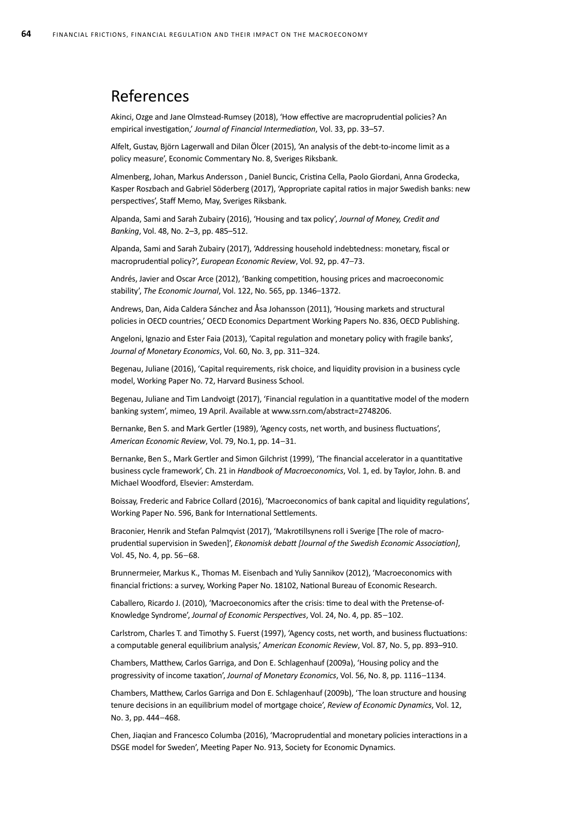## References

Akinci, Ozge and Jane Olmstead-Rumsey (2018), 'How effective are macroprudential policies? An empirical investigation,' *Journal of Financial Intermediation*, Vol. 33, pp. 33–57.

Alfelt, Gustav, Björn Lagerwall and Dilan Ölcer (2015), 'An analysis of the debt-to-income limit as a policy measure', Economic Commentary No. 8, Sveriges Riksbank.

Almenberg, Johan, Markus Andersson , Daniel Buncic, Cristina Cella, Paolo Giordani, Anna Grodecka, Kasper Roszbach and Gabriel Söderberg (2017), 'Appropriate capital ratios in major Swedish banks: new perspectives', Staff Memo, May, Sveriges Riksbank.

Alpanda, Sami and Sarah Zubairy (2016), 'Housing and tax policy', *Journal of Money, Credit and Banking*, Vol. 48, No. 2–3, pp. 485–512.

Alpanda, Sami and Sarah Zubairy (2017), 'Addressing household indebtedness: monetary, fiscal or macroprudential policy?', *European Economic Review*, Vol. 92, pp. 47–73.

Andrés, Javier and Oscar Arce (2012), 'Banking competition, housing prices and macroeconomic stability', *The Economic Journal*, Vol. 122, No. 565, pp. 1346–1372.

Andrews, Dan, Aida Caldera Sánchez and Åsa Johansson (2011), 'Housing markets and structural policies in OECD countries,' OECD Economics Department Working Papers No. 836, OECD Publishing.

Angeloni, Ignazio and Ester Faia (2013), 'Capital regulation and monetary policy with fragile banks', *Journal of Monetary Economics*, Vol. 60, No. 3, pp. 311–324.

Begenau, Juliane (2016), 'Capital requirements, risk choice, and liquidity provision in a business cycle model, Working Paper No. 72, Harvard Business School.

Begenau, Juliane and Tim Landvoigt (2017), 'Financial regulation in a quantitative model of the modern banking system', mimeo, 19 April. Available at www.ssrn.com/abstract=2748206.

Bernanke, Ben S. and Mark Gertler (1989), 'Agency costs, net worth, and business fluctuations', *American Economic Review*, Vol. 79, No.1, pp. 14–31.

Bernanke, Ben S., Mark Gertler and Simon Gilchrist (1999), 'The financial accelerator in a quantitative business cycle framework', Ch. 21 in *Handbook of Macroeconomics*, Vol. 1, ed. by Taylor, John. B. and Michael Woodford, Elsevier: Amsterdam.

Boissay, Frederic and Fabrice Collard (2016), 'Macroeconomics of bank capital and liquidity regulations', Working Paper No. 596, Bank for International Settlements.

Braconier, Henrik and Stefan Palmqvist (2017), 'Makrotillsynens roll i Sverige [The role of macroprudential supervision in Sweden]', *Ekonomisk debatt [Journal of the Swedish Economic Association]*, Vol. 45, No. 4, pp. 56–68.

Brunnermeier, Markus K., Thomas M. Eisenbach and Yuliy Sannikov (2012), 'Macroeconomics with financial frictions: a survey, Working Paper No. 18102, National Bureau of Economic Research.

Caballero, Ricardo J. (2010), 'Macroeconomics after the crisis: time to deal with the Pretense-of-Knowledge Syndrome', *Journal of Economic Perspectives*, Vol. 24, No. 4, pp. 85–102.

Carlstrom, Charles T. and Timothy S. Fuerst (1997), 'Agency costs, net worth, and business fluctuations: a computable general equilibrium analysis,' *American Economic Review*, Vol. 87, No. 5, pp. 893–910.

Chambers, Matthew, Carlos Garriga, and Don E. Schlagenhauf (2009a), 'Housing policy and the progressivity of income taxation', *Journal of Monetary Economics*, Vol. 56, No. 8, pp. 1116–1134.

Chambers, Matthew, Carlos Garriga and Don E. Schlagenhauf (2009b), 'The loan structure and housing tenure decisions in an equilibrium model of mortgage choice', *Review of Economic Dynamics*, Vol. 12, No. 3, pp. 444–468.

Chen, Jiaqian and Francesco Columba (2016), 'Macroprudential and monetary policies interactions in a DSGE model for Sweden', Meeting Paper No. 913, Society for Economic Dynamics.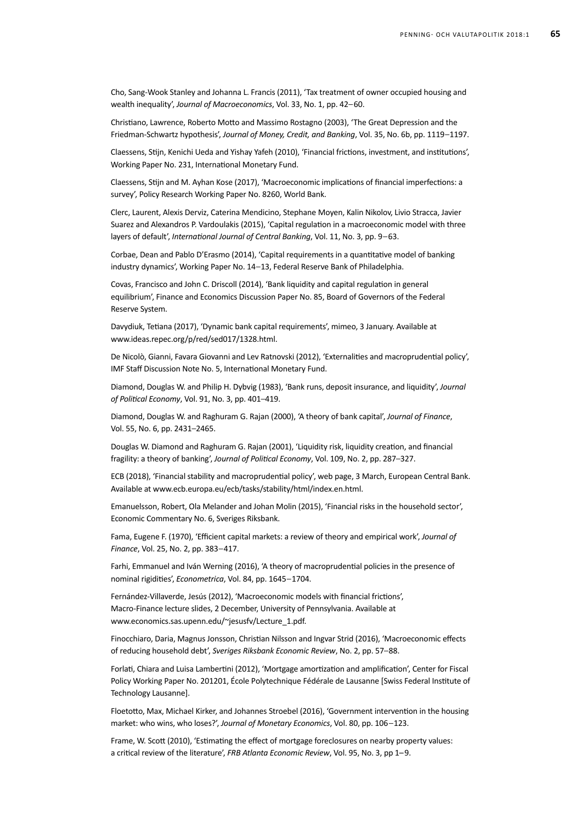Cho, Sang-Wook Stanley and Johanna L. Francis (2011), 'Tax treatment of owner occupied housing and wealth inequality', *Journal of Macroeconomics*, Vol. 33, No. 1, pp. 42–60.

Christiano, Lawrence, Roberto Motto and Massimo Rostagno (2003), 'The Great Depression and the Friedman-Schwartz hypothesis', *Journal of Money, Credit, and Banking*, Vol. 35, No. 6b, pp. 1119–1197.

Claessens, Stijn, Kenichi Ueda and Yishay Yafeh (2010), 'Financial frictions, investment, and institutions', Working Paper No. 231, International Monetary Fund.

Claessens, Stijn and M. Ayhan Kose (2017), 'Macroeconomic implications of financial imperfections: a survey', Policy Research Working Paper No. 8260, World Bank.

Clerc, Laurent, Alexis Derviz, Caterina Mendicino, Stephane Moyen, Kalin Nikolov, Livio Stracca, Javier Suarez and Alexandros P. Vardoulakis (2015), 'Capital regulation in a macroeconomic model with three layers of default', *International Journal of Central Banking*, Vol. 11, No. 3, pp. 9–63.

Corbae, Dean and Pablo D'Erasmo (2014), 'Capital requirements in a quantitative model of banking industry dynamics', Working Paper No. 14–13, Federal Reserve Bank of Philadelphia.

Covas, Francisco and John C. Driscoll (2014), 'Bank liquidity and capital regulation in general equilibrium', Finance and Economics Discussion Paper No. 85, Board of Governors of the Federal Reserve System.

Davydiuk, Tetiana (2017), 'Dynamic bank capital requirements', mimeo, 3 January. Available at www.ideas.repec.org/p/red/sed017/1328.html.

De Nicolò, Gianni, Favara Giovanni and Lev Ratnovski (2012), 'Externalities and macroprudential policy', IMF Staff Discussion Note No. 5, International Monetary Fund.

Diamond, Douglas W. and Philip H. Dybvig (1983), 'Bank runs, deposit insurance, and liquidity', *Journal of Political Economy*, Vol. 91, No. 3, pp. 401–419.

Diamond, Douglas W. and Raghuram G. Rajan (2000), 'A theory of bank capital', *Journal of Finance*, Vol. 55, No. 6, pp. 2431–2465.

Douglas W. Diamond and Raghuram G. Rajan (2001), 'Liquidity risk, liquidity creation, and financial fragility: a theory of banking', *Journal of Political Economy*, Vol. 109, No. 2, pp. 287–327.

ECB (2018), 'Financial stability and macroprudential policy', web page, 3 March, European Central Bank. Available at www.ecb.europa.eu/ecb/tasks/stability/html/index.en.html.

Emanuelsson, Robert, Ola Melander and Johan Molin (2015), 'Financial risks in the household sector', Economic Commentary No. 6, Sveriges Riksbank.

Fama, Eugene F. (1970), 'Efficient capital markets: a review of theory and empirical work', *Journal of Finance*, Vol. 25, No. 2, pp. 383–417.

Farhi, Emmanuel and Iván Werning (2016), 'A theory of macroprudential policies in the presence of nominal rigidities', *Econometrica*, Vol. 84, pp. 1645–1704.

Fernández-Villaverde, Jesús (2012), 'Macroeconomic models with financial frictions', Macro-Finance lecture slides, 2 December, University of Pennsylvania. Available at www.economics.sas.upenn.edu/~jesusfv/Lecture\_1.pdf.

Finocchiaro, Daria, Magnus Jonsson, Christian Nilsson and Ingvar Strid (2016), 'Macroeconomic effects of reducing household debt', *Sveriges Riksbank Economic Review*, No. 2, pp. 57–88.

Forlati, Chiara and Luisa Lambertini (2012), 'Mortgage amortization and amplification', Center for Fiscal Policy Working Paper No. 201201, École Polytechnique Fédérale de Lausanne [Swiss Federal Institute of Technology Lausanne].

Floetotto, Max, Michael Kirker, and Johannes Stroebel (2016), 'Government intervention in the housing market: who wins, who loses?', *Journal of Monetary Economics*, Vol. 80, pp. 106–123.

Frame, W. Scott (2010), 'Estimating the effect of mortgage foreclosures on nearby property values: a critical review of the literature', *FRB Atlanta Economic Review*, Vol. 95, No. 3, pp 1–9.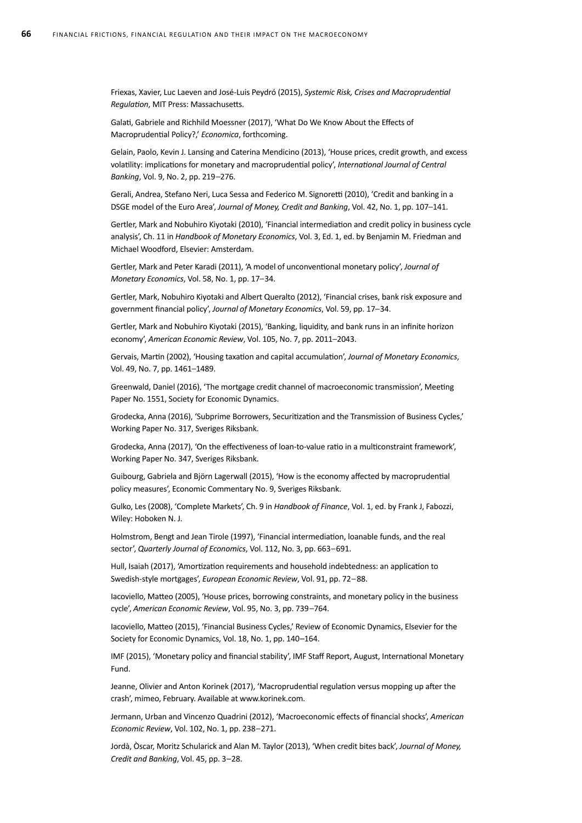Friexas, Xavier, Luc Laeven and José-Luis Peydró (2015), *Systemic Risk, Crises and Macroprudential Regulation*, MIT Press: Massachusetts.

Galati, Gabriele and Richhild Moessner (2017), 'What Do We Know About the Effects of Macroprudential Policy?,' *Economica*, forthcoming.

Gelain, Paolo, Kevin J. Lansing and Caterina Mendicino (2013), 'House prices, credit growth, and excess volatility: implications for monetary and macroprudential policy', *International Journal of Central Banking*, Vol. 9, No. 2, pp. 219–276.

Gerali, Andrea, Stefano Neri, Luca Sessa and Federico M. Signoretti (2010), 'Credit and banking in a DSGE model of the Euro Area', *Journal of Money, Credit and Banking*, Vol. 42, No. 1, pp. 107–141.

Gertler, Mark and Nobuhiro Kiyotaki (2010), 'Financial intermediation and credit policy in business cycle analysis', Ch. 11 in *Handbook of Monetary Economics*, Vol. 3, Ed. 1, ed. by Benjamin M. Friedman and Michael Woodford, Elsevier: Amsterdam.

Gertler, Mark and Peter Karadi (2011), 'A model of unconventional monetary policy', *Journal of Monetary Economics*, Vol. 58, No. 1, pp. 17–34.

Gertler, Mark, Nobuhiro Kiyotaki and Albert Queralto (2012), 'Financial crises, bank risk exposure and government financial policy', *Journal of Monetary Economics*, Vol. 59, pp. 17–34.

Gertler, Mark and Nobuhiro Kiyotaki (2015), 'Banking, liquidity, and bank runs in an infinite horizon economy', *American Economic Review*, Vol. 105, No. 7, pp. 2011–2043.

Gervais, Martin (2002), 'Housing taxation and capital accumulation', *Journal of Monetary Economics*, Vol. 49, No. 7, pp. 1461–1489.

Greenwald, Daniel (2016), 'The mortgage credit channel of macroeconomic transmission', Meeting Paper No. 1551, Society for Economic Dynamics.

Grodecka, Anna (2016), 'Subprime Borrowers, Securitization and the Transmission of Business Cycles,' Working Paper No. 317, Sveriges Riksbank.

Grodecka, Anna (2017), 'On the effectiveness of loan-to-value ratio in a multiconstraint framework', Working Paper No. 347, Sveriges Riksbank.

Guibourg, Gabriela and Björn Lagerwall (2015), 'How is the economy affected by macroprudential policy measures', Economic Commentary No. 9, Sveriges Riksbank.

Gulko, Les (2008), 'Complete Markets', Ch. 9 in *Handbook of Finance*, Vol. 1, ed. by Frank J, Fabozzi, Wiley: Hoboken N. J.

Holmstrom, Bengt and Jean Tirole (1997), 'Financial intermediation, loanable funds, and the real sector', *Quarterly Journal of Economics*, Vol. 112, No. 3, pp. 663–691.

Hull, Isaiah (2017), 'Amortization requirements and household indebtedness: an application to Swedish-style mortgages', *European Economic Review*, Vol. 91, pp. 72–88.

Iacoviello, Matteo (2005), 'House prices, borrowing constraints, and monetary policy in the business cycle', *American Economic Review*, Vol. 95, No. 3, pp. 739–764.

Iacoviello, Matteo (2015), 'Financial Business Cycles,' Review of Economic Dynamics, Elsevier for the Society for Economic Dynamics, Vol. 18, No. 1, pp. 140–164.

IMF (2015), 'Monetary policy and financial stability', IMF Staff Report, August, International Monetary Fund.

Jeanne, Olivier and Anton Korinek (2017), 'Macroprudential regulation versus mopping up after the crash', mimeo, February. Available at www.korinek.com.

Jermann, Urban and Vincenzo Quadrini (2012), 'Macroeconomic effects of financial shocks', *American Economic Review*, Vol. 102, No. 1, pp. 238–271.

Jordà, Òscar, Moritz Schularick and Alan M. Taylor (2013), 'When credit bites back', *Journal of Money, Credit and Banking*, Vol. 45, pp. 3–28.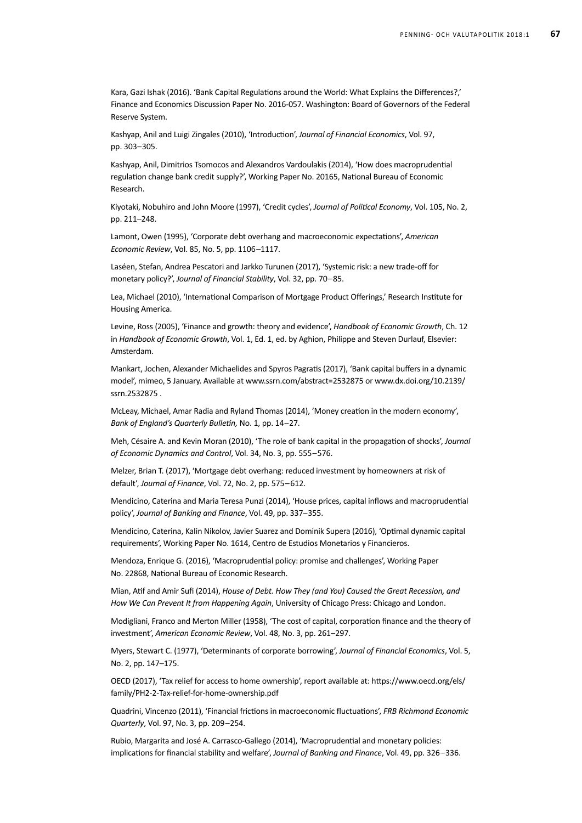Kara, Gazi Ishak (2016). 'Bank Capital Regulations around the World: What Explains the Differences?,' Finance and Economics Discussion Paper No. 2016-057. Washington: Board of Governors of the Federal Reserve System.

Kashyap, Anil and Luigi Zingales (2010), 'Introduction', *Journal of Financial Economics*, Vol. 97, pp. 303–305.

Kashyap, Anil, Dimitrios Tsomocos and Alexandros Vardoulakis (2014), 'How does macroprudential regulation change bank credit supply?', Working Paper No. 20165, National Bureau of Economic Research.

Kiyotaki, Nobuhiro and John Moore (1997), 'Credit cycles', *Journal of Political Economy*, Vol. 105, No. 2, pp. 211–248.

Lamont, Owen (1995), 'Corporate debt overhang and macroeconomic expectations', *American Economic Review*, Vol. 85, No. 5, pp. 1106–1117.

Laséen, Stefan, Andrea Pescatori and Jarkko Turunen (2017), 'Systemic risk: a new trade-off for monetary policy?', *Journal of Financial Stability*, Vol. 32, pp. 70–85.

Lea, Michael (2010), 'International Comparison of Mortgage Product Offerings,' Research Institute for Housing America.

Levine, Ross (2005), 'Finance and growth: theory and evidence', *Handbook of Economic Growth*, Ch. 12 in *Handbook of Economic Growth*, Vol. 1, Ed. 1, ed. by Aghion, Philippe and Steven Durlauf, Elsevier: Amsterdam.

Mankart, Jochen, Alexander Michaelides and Spyros Pagratis (2017), 'Bank capital buffers in a dynamic model', mimeo, 5 January. Available at www.ssrn.com/abstract=2532875 or www.dx.doi.org/10.2139/ ssrn.2532875 .

McLeay, Michael, Amar Radia and Ryland Thomas (2014), 'Money creation in the modern economy', *Bank of England's Quarterly Bulletin,* No. 1, pp. 14–27.

Meh, Césaire A. and Kevin Moran (2010), 'The role of bank capital in the propagation of shocks', *Journal of Economic Dynamics and Control*, Vol. 34, No. 3, pp. 555–576.

Melzer, Brian T. (2017), 'Mortgage debt overhang: reduced investment by homeowners at risk of default', *Journal of Finance*, Vol. 72, No. 2, pp. 575–612.

Mendicino, Caterina and Maria Teresa Punzi (2014), 'House prices, capital inflows and macroprudential policy', *Journal of Banking and Finance*, Vol. 49, pp. 337–355.

Mendicino, Caterina, Kalin Nikolov, Javier Suarez and Dominik Supera (2016), 'Optimal dynamic capital requirements', Working Paper No. 1614, Centro de Estudios Monetarios y Financieros.

Mendoza, Enrique G. (2016), 'Macroprudential policy: promise and challenges', Working Paper No. 22868, National Bureau of Economic Research.

Mian, Atif and Amir Sufi (2014), *House of Debt. How They (and You) Caused the Great Recession, and How We Can Prevent It from Happening Again*, University of Chicago Press: Chicago and London.

Modigliani, Franco and Merton Miller (1958), 'The cost of capital, corporation finance and the theory of investment', *American Economic Review*, Vol. 48, No. 3, pp. 261–297.

Myers, Stewart C. (1977), 'Determinants of corporate borrowing', *Journal of Financial Economics*, Vol. 5, No. 2, pp. 147–175.

OECD (2017), 'Tax relief for access to home ownership', report available at: https://www.oecd.org/els/ family/PH2-2-Tax-relief-for-home-ownership.pdf

Quadrini, Vincenzo (2011), 'Financial frictions in macroeconomic fluctuations', *FRB Richmond Economic Quarterly*, Vol. 97, No. 3, pp. 209–254.

Rubio, Margarita and José A. Carrasco-Gallego (2014), 'Macroprudential and monetary policies: implications for financial stability and welfare', *Journal of Banking and Finance*, Vol. 49, pp. 326–336.